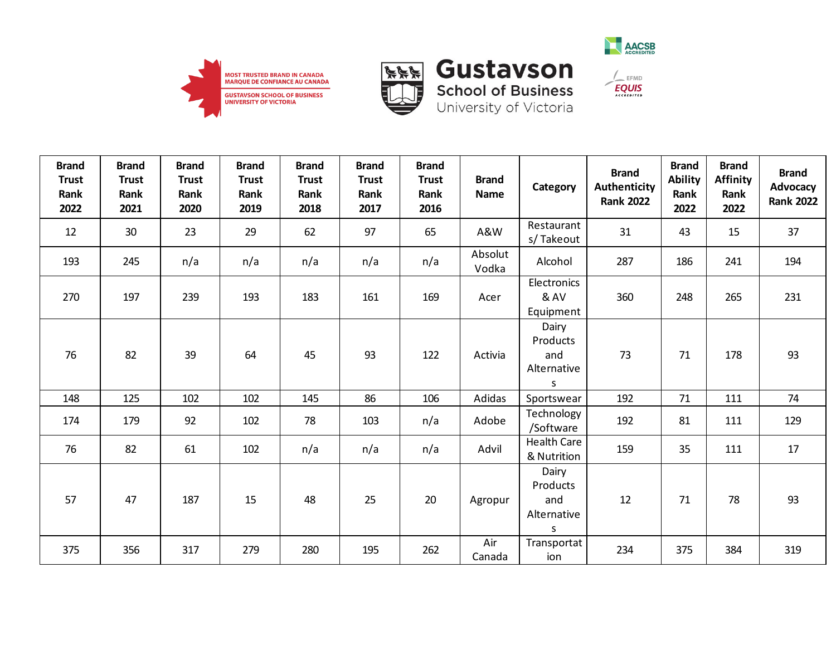





| <b>Brand</b><br><b>Trust</b><br>Rank<br>2022 | <b>Brand</b><br><b>Trust</b><br>Rank<br>2021 | <b>Brand</b><br><b>Trust</b><br>Rank<br>2020 | <b>Brand</b><br><b>Trust</b><br>Rank<br>2019 | <b>Brand</b><br><b>Trust</b><br>Rank<br>2018 | <b>Brand</b><br><b>Trust</b><br>Rank<br>2017 | <b>Brand</b><br><b>Trust</b><br>Rank<br>2016 | <b>Brand</b><br>Name | Category                                                | <b>Brand</b><br><b>Authenticity</b><br><b>Rank 2022</b> | <b>Brand</b><br><b>Ability</b><br>Rank<br>2022 | <b>Brand</b><br><b>Affinity</b><br>Rank<br>2022 | <b>Brand</b><br>Advocacy<br><b>Rank 2022</b> |
|----------------------------------------------|----------------------------------------------|----------------------------------------------|----------------------------------------------|----------------------------------------------|----------------------------------------------|----------------------------------------------|----------------------|---------------------------------------------------------|---------------------------------------------------------|------------------------------------------------|-------------------------------------------------|----------------------------------------------|
| 12                                           | 30                                           | 23                                           | 29                                           | 62                                           | 97                                           | 65                                           | A&W                  | Restaurant<br>s/Takeout                                 | 31                                                      | 43                                             | 15                                              | 37                                           |
| 193                                          | 245                                          | n/a                                          | n/a                                          | n/a                                          | n/a                                          | n/a                                          | Absolut<br>Vodka     | Alcohol                                                 | 287                                                     | 186                                            | 241                                             | 194                                          |
| 270                                          | 197                                          | 239                                          | 193                                          | 183                                          | 161                                          | 169                                          | Acer                 | Electronics<br>& AV<br>Equipment                        | 360                                                     | 248                                            | 265                                             | 231                                          |
| 76                                           | 82                                           | 39                                           | 64                                           | 45                                           | 93                                           | 122                                          | Activia              | Dairy<br>Products<br>and<br>Alternative<br>S            | 73                                                      | 71                                             | 178                                             | 93                                           |
| 148                                          | 125                                          | 102                                          | 102                                          | 145                                          | 86                                           | 106                                          | Adidas               | Sportswear                                              | 192                                                     | 71                                             | 111                                             | 74                                           |
| 174                                          | 179                                          | 92                                           | 102                                          | 78                                           | 103                                          | n/a                                          | Adobe                | Technology<br>/Software                                 | 192                                                     | 81                                             | 111                                             | 129                                          |
| 76                                           | 82                                           | 61                                           | 102                                          | n/a                                          | n/a                                          | n/a                                          | Advil                | <b>Health Care</b><br>& Nutrition                       | 159                                                     | 35                                             | 111                                             | 17                                           |
| 57                                           | 47                                           | 187                                          | 15                                           | 48                                           | 25                                           | 20                                           | Agropur              | Dairy<br>Products<br>and<br>Alternative<br>$\mathsf{S}$ | 12                                                      | 71                                             | 78                                              | 93                                           |
| 375                                          | 356                                          | 317                                          | 279                                          | 280                                          | 195                                          | 262                                          | Air<br>Canada        | Transportat<br>ion                                      | 234                                                     | 375                                            | 384                                             | 319                                          |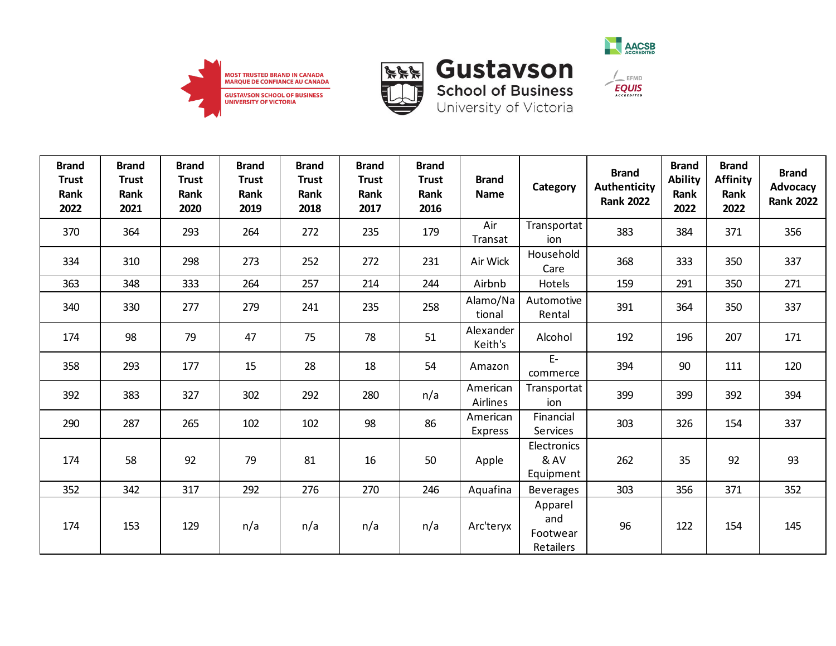



**School of Business**<br>University of Victoria



 $\frac{1}{2}$  EFMD

**EQUIS** 

| <b>Brand</b><br><b>Trust</b><br>Rank<br>2022 | <b>Brand</b><br><b>Trust</b><br>Rank<br>2021 | <b>Brand</b><br><b>Trust</b><br>Rank<br>2020 | <b>Brand</b><br><b>Trust</b><br>Rank<br>2019 | <b>Brand</b><br><b>Trust</b><br>Rank<br>2018 | <b>Brand</b><br><b>Trust</b><br>Rank<br>2017 | <b>Brand</b><br><b>Trust</b><br>Rank<br>2016 | <b>Brand</b><br><b>Name</b> | Category                         | <b>Brand</b><br><b>Authenticity</b><br><b>Rank 2022</b> | <b>Brand</b><br><b>Ability</b><br>Rank<br>2022 | <b>Brand</b><br><b>Affinity</b><br>Rank<br>2022 | <b>Brand</b><br>Advocacy<br><b>Rank 2022</b> |
|----------------------------------------------|----------------------------------------------|----------------------------------------------|----------------------------------------------|----------------------------------------------|----------------------------------------------|----------------------------------------------|-----------------------------|----------------------------------|---------------------------------------------------------|------------------------------------------------|-------------------------------------------------|----------------------------------------------|
| 370                                          | 364                                          | 293                                          | 264                                          | 272                                          | 235                                          | 179                                          | Air<br>Transat              | Transportat<br>ion               | 383                                                     | 384                                            | 371                                             | 356                                          |
| 334                                          | 310                                          | 298                                          | 273                                          | 252                                          | 272                                          | 231                                          | Air Wick                    | Household<br>Care                | 368                                                     | 333                                            | 350                                             | 337                                          |
| 363                                          | 348                                          | 333                                          | 264                                          | 257                                          | 214                                          | 244                                          | Airbnb                      | Hotels                           | 159                                                     | 291                                            | 350                                             | 271                                          |
| 340                                          | 330                                          | 277                                          | 279                                          | 241                                          | 235                                          | 258                                          | Alamo/Na<br>tional          | Automotive<br>Rental             | 391                                                     | 364                                            | 350                                             | 337                                          |
| 174                                          | 98                                           | 79                                           | 47                                           | 75                                           | 78                                           | 51                                           | Alexander<br>Keith's        | Alcohol                          | 192                                                     | 196                                            | 207                                             | 171                                          |
| 358                                          | 293                                          | 177                                          | 15                                           | 28                                           | 18                                           | 54                                           | Amazon                      | $E-$<br>commerce                 | 394                                                     | 90                                             | 111                                             | 120                                          |
| 392                                          | 383                                          | 327                                          | 302                                          | 292                                          | 280                                          | n/a                                          | American<br><b>Airlines</b> | Transportat<br>ion               | 399                                                     | 399                                            | 392                                             | 394                                          |
| 290                                          | 287                                          | 265                                          | 102                                          | 102                                          | 98                                           | 86                                           | American<br><b>Express</b>  | Financial<br>Services            | 303                                                     | 326                                            | 154                                             | 337                                          |
| 174                                          | 58                                           | 92                                           | 79                                           | 81                                           | 16                                           | 50                                           | Apple                       | Electronics<br>& AV<br>Equipment | 262                                                     | 35                                             | 92                                              | 93                                           |
| 352                                          | 342                                          | 317                                          | 292                                          | 276                                          | 270                                          | 246                                          | Aquafina                    | <b>Beverages</b>                 | 303                                                     | 356                                            | 371                                             | 352                                          |
| 174                                          | 153                                          | 129                                          | n/a                                          | n/a                                          | n/a                                          | n/a                                          | Arc'teryx                   | Apparel<br>and<br>Footwear       | 96                                                      | 122                                            | 154                                             | 145                                          |

Retailers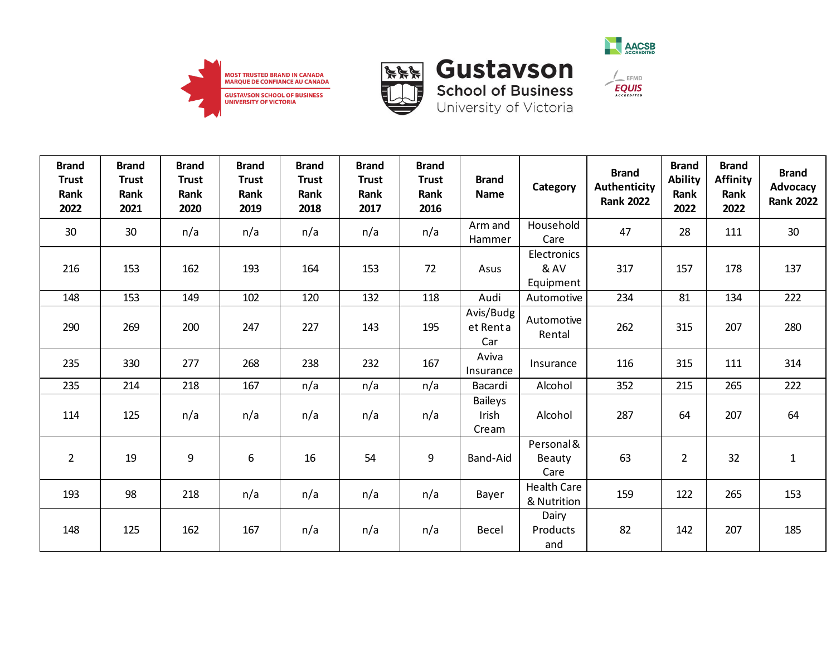





| <b>Brand</b><br><b>Trust</b><br>Rank<br>2022 | <b>Brand</b><br><b>Trust</b><br>Rank<br>2021 | <b>Brand</b><br><b>Trust</b><br>Rank<br>2020 | <b>Brand</b><br><b>Trust</b><br>Rank<br>2019 | <b>Brand</b><br><b>Trust</b><br>Rank<br>2018 | <b>Brand</b><br><b>Trust</b><br>Rank<br>2017 | <b>Brand</b><br><b>Trust</b><br>Rank<br>2016 | <b>Brand</b><br><b>Name</b>      | Category                          | <b>Brand</b><br><b>Authenticity</b><br><b>Rank 2022</b> | <b>Brand</b><br><b>Ability</b><br>Rank<br>2022 | <b>Brand</b><br><b>Affinity</b><br>Rank<br>2022 | <b>Brand</b><br>Advocacy<br><b>Rank 2022</b> |
|----------------------------------------------|----------------------------------------------|----------------------------------------------|----------------------------------------------|----------------------------------------------|----------------------------------------------|----------------------------------------------|----------------------------------|-----------------------------------|---------------------------------------------------------|------------------------------------------------|-------------------------------------------------|----------------------------------------------|
| 30                                           | 30                                           | n/a                                          | n/a                                          | n/a                                          | n/a                                          | n/a                                          | Arm and<br>Hammer                | Household<br>Care                 | 47                                                      | 28                                             | 111                                             | 30                                           |
| 216                                          | 153                                          | 162                                          | 193                                          | 164                                          | 153                                          | 72                                           | Asus                             | Electronics<br>& AV<br>Equipment  | 317                                                     | 157                                            | 178                                             | 137                                          |
| 148                                          | 153                                          | 149                                          | 102                                          | 120                                          | 132                                          | 118                                          | Audi                             | Automotive                        | 234                                                     | 81                                             | 134                                             | 222                                          |
| 290                                          | 269                                          | 200                                          | 247                                          | 227                                          | 143                                          | 195                                          | Avis/Budg<br>et Renta<br>Car     | Automotive<br>Rental              | 262                                                     | 315                                            | 207                                             | 280                                          |
| 235                                          | 330                                          | 277                                          | 268                                          | 238                                          | 232                                          | 167                                          | Aviva<br>Insurance               | Insurance                         | 116                                                     | 315                                            | 111                                             | 314                                          |
| 235                                          | 214                                          | 218                                          | 167                                          | n/a                                          | n/a                                          | n/a                                          | Bacardi                          | Alcohol                           | 352                                                     | 215                                            | 265                                             | 222                                          |
| 114                                          | 125                                          | n/a                                          | n/a                                          | n/a                                          | n/a                                          | n/a                                          | <b>Baileys</b><br>Irish<br>Cream | Alcohol                           | 287                                                     | 64                                             | 207                                             | 64                                           |
| $\overline{2}$                               | 19                                           | 9                                            | 6                                            | 16                                           | 54                                           | 9                                            | Band-Aid                         | Personal &<br>Beauty<br>Care      | 63                                                      | $\overline{2}$                                 | 32                                              | $\mathbf 1$                                  |
| 193                                          | 98                                           | 218                                          | n/a                                          | n/a                                          | n/a                                          | n/a                                          | Bayer                            | <b>Health Care</b><br>& Nutrition | 159                                                     | 122                                            | 265                                             | 153                                          |
| 148                                          | 125                                          | 162                                          | 167                                          | n/a                                          | n/a                                          | n/a                                          | Becel                            | Dairy<br>Products<br>and          | 82                                                      | 142                                            | 207                                             | 185                                          |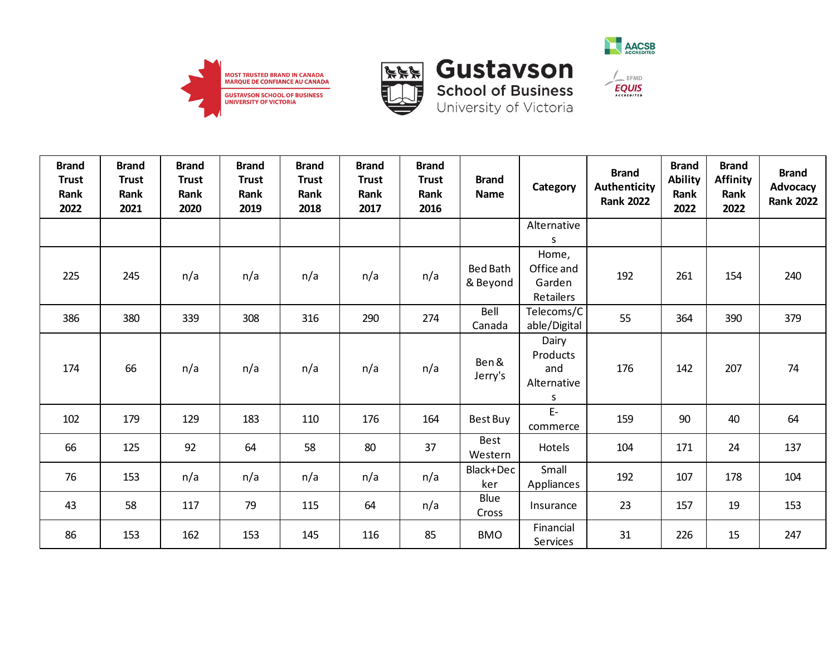







 $\frac{1}{2}$  EFMD

| <b>Brand</b><br><b>Trust</b><br>Rank<br>2022 | <b>Brand</b><br><b>Trust</b><br>Rank<br>2021 | <b>Brand</b><br><b>Trust</b><br>Rank<br>2020 | <b>Brand</b><br><b>Trust</b><br>Rank<br>2019 | <b>Brand</b><br><b>Trust</b><br>Rank<br>2018 | <b>Brand</b><br><b>Trust</b><br>Rank<br>2017 | <b>Brand</b><br><b>Trust</b><br>Rank<br>2016 | <b>Brand</b><br><b>Name</b> | Category                                     | <b>Brand</b><br>Authenticity<br><b>Rank 2022</b> | <b>Brand</b><br><b>Ability</b><br>Rank<br>2022 | <b>Brand</b><br><b>Affinity</b><br>Rank<br>2022 | <b>Brand</b><br>Advocacy<br><b>Rank 2022</b> |
|----------------------------------------------|----------------------------------------------|----------------------------------------------|----------------------------------------------|----------------------------------------------|----------------------------------------------|----------------------------------------------|-----------------------------|----------------------------------------------|--------------------------------------------------|------------------------------------------------|-------------------------------------------------|----------------------------------------------|
|                                              |                                              |                                              |                                              |                                              |                                              |                                              |                             | Alternative<br>S                             |                                                  |                                                |                                                 |                                              |
| 225                                          | 245                                          | n/a                                          | n/a                                          | n/a                                          | n/a                                          | n/a                                          | <b>Bed Bath</b><br>& Beyond | Home,<br>Office and<br>Garden<br>Retailers   | 192                                              | 261                                            | 154                                             | 240                                          |
| 386                                          | 380                                          | 339                                          | 308                                          | 316                                          | 290                                          | 274                                          | Bell<br>Canada              | Telecoms/C<br>able/Digital                   | 55                                               | 364                                            | 390                                             | 379                                          |
| 174                                          | 66                                           | n/a                                          | n/a                                          | n/a                                          | n/a                                          | n/a                                          | Ben &<br>Jerry's            | Dairy<br>Products<br>and<br>Alternative<br>S | 176                                              | 142                                            | 207                                             | 74                                           |
| 102                                          | 179                                          | 129                                          | 183                                          | 110                                          | 176                                          | 164                                          | Best Buy                    | $E-$<br>commerce                             | 159                                              | 90                                             | 40                                              | 64                                           |
| 66                                           | 125                                          | 92                                           | 64                                           | 58                                           | 80                                           | 37                                           | Best<br>Western             | Hotels                                       | 104                                              | 171                                            | 24                                              | 137                                          |
| 76                                           | 153                                          | n/a                                          | n/a                                          | n/a                                          | n/a                                          | n/a                                          | Black+Dec<br>ker            | Small<br>Appliances                          | 192                                              | 107                                            | 178                                             | 104                                          |
| 43                                           | 58                                           | 117                                          | 79                                           | 115                                          | 64                                           | n/a                                          | Blue<br>Cross               | Insurance                                    | 23                                               | 157                                            | 19                                              | 153                                          |
| 86                                           | 153                                          | 162                                          | 153                                          | 145                                          | 116                                          | 85                                           | <b>BMO</b>                  | Financial<br>Services                        | 31                                               | 226                                            | 15                                              | 247                                          |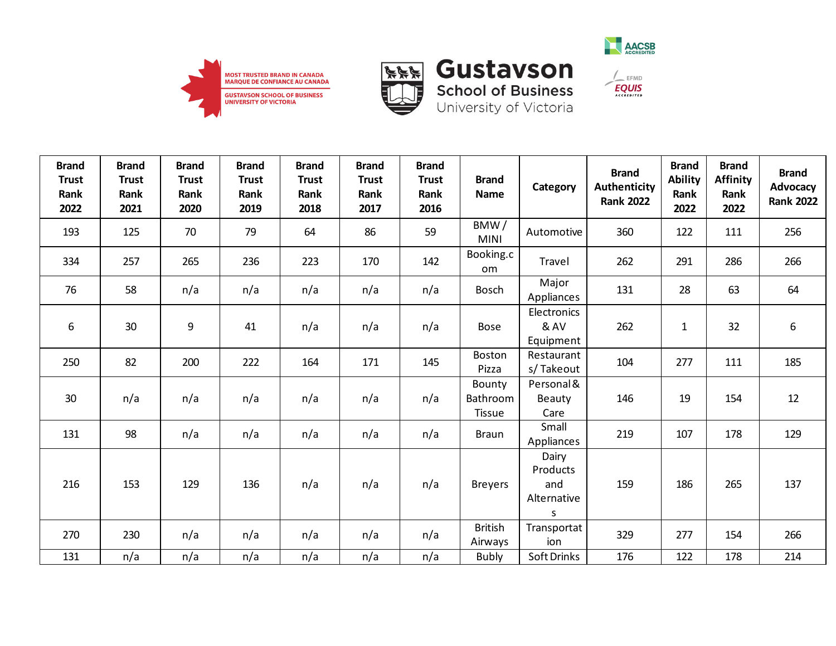



**School of Business**<br>University of Victoria



 $\frac{1}{\sqrt{2}}$  EFMD

**EQUIS** 

| <b>Brand</b><br><b>Trust</b><br>Rank<br>2022 | <b>Brand</b><br><b>Trust</b><br>Rank<br>2021 | <b>Brand</b><br><b>Trust</b><br>Rank<br>2020 | <b>Brand</b><br><b>Trust</b><br>Rank<br>2019 | <b>Brand</b><br><b>Trust</b><br>Rank<br>2018 | <b>Brand</b><br><b>Trust</b><br>Rank<br>2017 | <b>Brand</b><br><b>Trust</b><br>Rank<br>2016 | <b>Brand</b><br><b>Name</b>                | Category                                     | <b>Brand</b><br>Authenticity<br><b>Rank 2022</b> | <b>Brand</b><br><b>Ability</b><br>Rank<br>2022 | <b>Brand</b><br><b>Affinity</b><br>Rank<br>2022 | <b>Brand</b><br>Advocacy<br><b>Rank 2022</b> |
|----------------------------------------------|----------------------------------------------|----------------------------------------------|----------------------------------------------|----------------------------------------------|----------------------------------------------|----------------------------------------------|--------------------------------------------|----------------------------------------------|--------------------------------------------------|------------------------------------------------|-------------------------------------------------|----------------------------------------------|
| 193                                          | 125                                          | 70                                           | 79                                           | 64                                           | 86                                           | 59                                           | BMW/<br><b>MINI</b>                        | Automotive                                   | 360                                              | 122                                            | 111                                             | 256                                          |
| 334                                          | 257                                          | 265                                          | 236                                          | 223                                          | 170                                          | 142                                          | Booking.c<br><b>om</b>                     | Travel                                       | 262                                              | 291                                            | 286                                             | 266                                          |
| 76                                           | 58                                           | n/a                                          | n/a                                          | n/a                                          | n/a                                          | n/a                                          | <b>Bosch</b>                               | Major<br>Appliances                          | 131                                              | 28                                             | 63                                              | 64                                           |
| 6                                            | 30                                           | 9                                            | 41                                           | n/a                                          | n/a                                          | n/a                                          | <b>Bose</b>                                | Electronics<br>& AV<br>Equipment             | 262                                              | $\mathbf 1$                                    | 32                                              | 6                                            |
| 250                                          | 82                                           | 200                                          | 222                                          | 164                                          | 171                                          | 145                                          | <b>Boston</b><br>Pizza                     | Restaurant<br>s/Takeout                      | 104                                              | 277                                            | 111                                             | 185                                          |
| 30                                           | n/a                                          | n/a                                          | n/a                                          | n/a                                          | n/a                                          | n/a                                          | Bounty<br><b>Bathroom</b><br><b>Tissue</b> | Personal &<br>Beauty<br>Care                 | 146                                              | 19                                             | 154                                             | 12                                           |
| 131                                          | 98                                           | n/a                                          | n/a                                          | n/a                                          | n/a                                          | n/a                                          | <b>Braun</b>                               | Small<br>Appliances                          | 219                                              | 107                                            | 178                                             | 129                                          |
| 216                                          | 153                                          | 129                                          | 136                                          | n/a                                          | n/a                                          | n/a                                          | <b>Breyers</b>                             | Dairy<br>Products<br>and<br>Alternative<br>S | 159                                              | 186                                            | 265                                             | 137                                          |
| 270                                          | 230                                          | n/a                                          | n/a                                          | n/a                                          | n/a                                          | n/a                                          | <b>British</b><br>Airways                  | Transportat<br>ion                           | 329                                              | 277                                            | 154                                             | 266                                          |

131 | n/a | n/a | n/a | n/a | n/a | n/a | Bubly |Soft Drinks | 176 | 122 | 178 | 214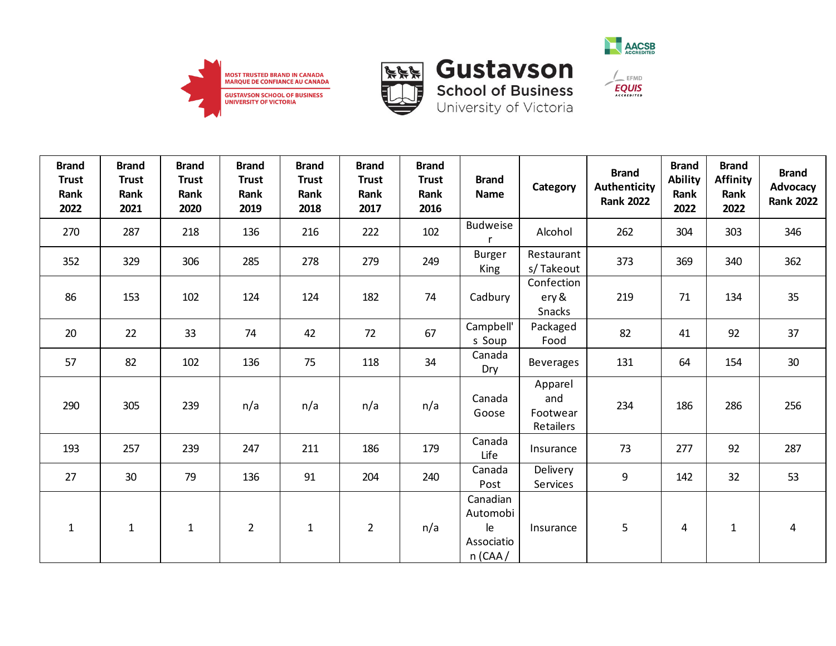



**School of Business** 

University of Victoria



 $\frac{1}{2}$  EFMD **EQUIS** 

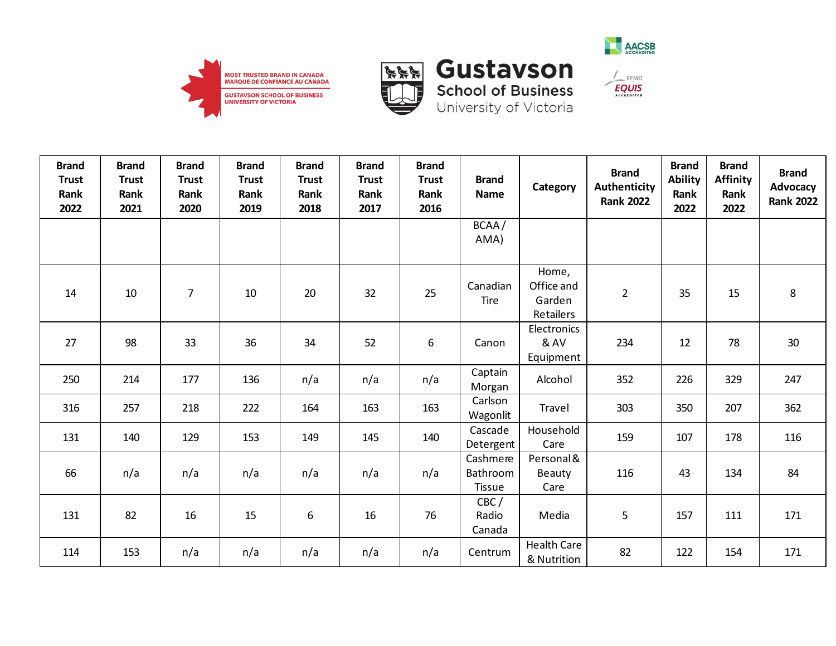





University of Victoria

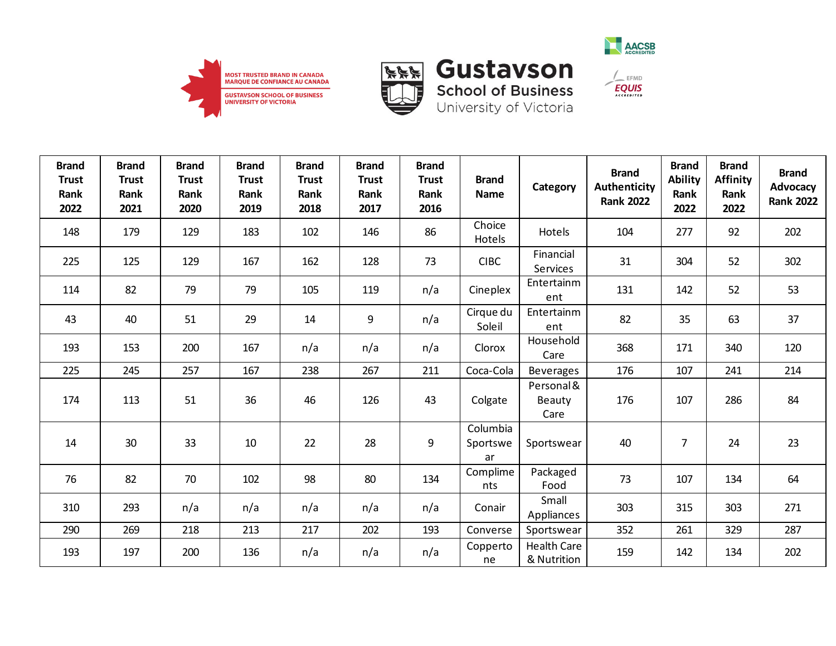





 $\frac{1}{\sqrt{2}}$  EFMD

**EQUIS** 

| <b>Brand</b><br><b>Trust</b><br>Rank<br>2022 | <b>Brand</b><br><b>Trust</b><br>Rank<br>2021 | <b>Brand</b><br><b>Trust</b><br>Rank<br>2020 | <b>Brand</b><br><b>Trust</b><br>Rank<br>2019 | <b>Brand</b><br><b>Trust</b><br>Rank<br>2018 | <b>Brand</b><br><b>Trust</b><br>Rank<br>2017 | <b>Brand</b><br><b>Trust</b><br>Rank<br>2016 | <b>Brand</b><br>Name       | Category                            | <b>Brand</b><br><b>Authenticity</b><br><b>Rank 2022</b> | <b>Brand</b><br><b>Ability</b><br>Rank<br>2022 | <b>Brand</b><br><b>Affinity</b><br>Rank<br>2022 | <b>Brand</b><br>Advocacy<br><b>Rank 2022</b> |
|----------------------------------------------|----------------------------------------------|----------------------------------------------|----------------------------------------------|----------------------------------------------|----------------------------------------------|----------------------------------------------|----------------------------|-------------------------------------|---------------------------------------------------------|------------------------------------------------|-------------------------------------------------|----------------------------------------------|
| 148                                          | 179                                          | 129                                          | 183                                          | 102                                          | 146                                          | 86                                           | Choice<br>Hotels           | Hotels                              | 104                                                     | 277                                            | 92                                              | 202                                          |
| 225                                          | 125                                          | 129                                          | 167                                          | 162                                          | 128                                          | 73                                           | <b>CIBC</b>                | Financial<br>Services               | 31                                                      | 304                                            | 52                                              | 302                                          |
| 114                                          | 82                                           | 79                                           | 79                                           | 105                                          | 119                                          | n/a                                          | Cineplex                   | Entertainm<br>ent                   | 131                                                     | 142                                            | 52                                              | 53                                           |
| 43                                           | 40                                           | 51                                           | 29                                           | 14                                           | 9                                            | n/a                                          | Cirque du<br>Soleil        | Entertainm<br>ent                   | 82                                                      | 35                                             | 63                                              | 37                                           |
| 193                                          | 153                                          | 200                                          | 167                                          | n/a                                          | n/a                                          | n/a                                          | Clorox                     | Household<br>Care                   | 368                                                     | 171                                            | 340                                             | 120                                          |
| 225                                          | 245                                          | 257                                          | 167                                          | 238                                          | 267                                          | 211                                          | Coca-Cola                  | <b>Beverages</b>                    | 176                                                     | 107                                            | 241                                             | 214                                          |
| 174                                          | 113                                          | 51                                           | 36                                           | 46                                           | 126                                          | 43                                           | Colgate                    | Personal &<br><b>Beauty</b><br>Care | 176                                                     | 107                                            | 286                                             | 84                                           |
| 14                                           | 30                                           | 33                                           | 10                                           | 22                                           | 28                                           | 9                                            | Columbia<br>Sportswe<br>ar | Sportswear                          | 40                                                      | $\overline{7}$                                 | 24                                              | 23                                           |
| 76                                           | 82                                           | 70                                           | 102                                          | 98                                           | 80                                           | 134                                          | Complime<br>nts            | Packaged<br>Food                    | 73                                                      | 107                                            | 134                                             | 64                                           |
| 310                                          | 293                                          | n/a                                          | n/a                                          | n/a                                          | n/a                                          | n/a                                          | Conair                     | Small<br>Appliances                 | 303                                                     | 315                                            | 303                                             | 271                                          |
| 290                                          | 269                                          | 218                                          | 213                                          | 217                                          | 202                                          | 193                                          | Converse                   | Sportswear                          | 352                                                     | 261                                            | 329                                             | 287                                          |
| 193                                          | 197                                          | 200                                          | 136                                          | n/a                                          | n/a                                          | n/a                                          | Copperto<br>ne             | <b>Health Care</b><br>& Nutrition   | 159                                                     | 142                                            | 134                                             | 202                                          |

ne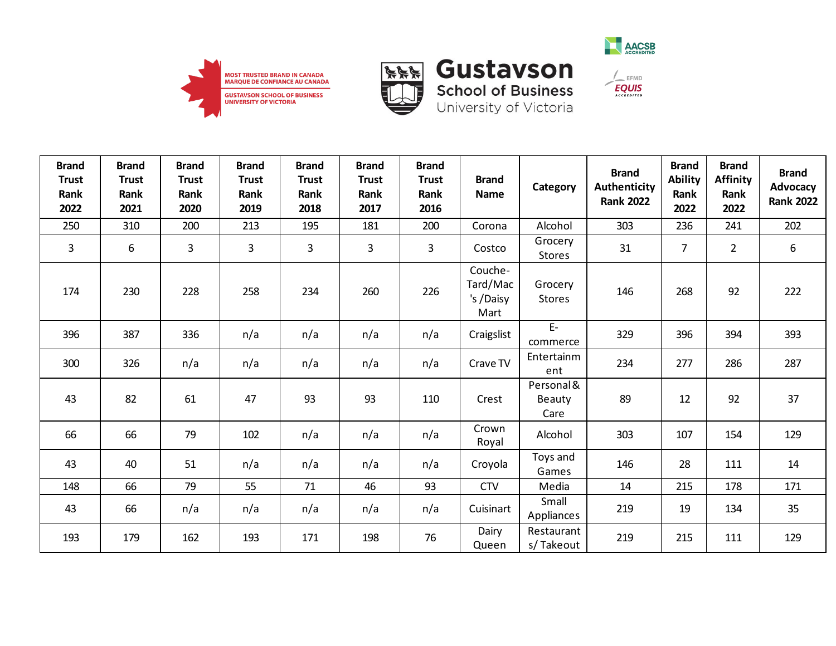





 $\mathcal{L}_{\mathsf{EFMD}}$ 

**EQUIS** 



**Gustavson** 

| <b>Brand</b><br><b>Trust</b><br>Rank<br>2022 | <b>Brand</b><br><b>Trust</b><br>Rank<br>2021 | <b>Brand</b><br><b>Trust</b><br>Rank<br>2020 | <b>Brand</b><br><b>Trust</b><br>Rank<br>2019 | <b>Brand</b><br><b>Trust</b><br>Rank<br>2018 | <b>Brand</b><br><b>Trust</b><br>Rank<br>2017 | <b>Brand</b><br><b>Trust</b><br>Rank<br>2016 | <b>Brand</b><br>Name                     | Category                     | <b>Brand</b><br>Authenticity<br><b>Rank 2022</b> | <b>Brand</b><br><b>Ability</b><br>Rank<br>2022 | <b>Brand</b><br><b>Affinity</b><br>Rank<br>2022 | <b>Brand</b><br>Advocacy<br><b>Rank 2022</b> |
|----------------------------------------------|----------------------------------------------|----------------------------------------------|----------------------------------------------|----------------------------------------------|----------------------------------------------|----------------------------------------------|------------------------------------------|------------------------------|--------------------------------------------------|------------------------------------------------|-------------------------------------------------|----------------------------------------------|
| 250                                          | 310                                          | 200                                          | 213                                          | 195                                          | 181                                          | 200                                          | Corona                                   | Alcohol                      | 303                                              | 236                                            | 241                                             | 202                                          |
| $\overline{3}$                               | 6                                            | 3                                            | 3                                            | 3                                            | 3                                            | 3                                            | Costco                                   | Grocery<br><b>Stores</b>     | 31                                               | $\overline{7}$                                 | $\overline{2}$                                  | 6                                            |
| 174                                          | 230                                          | 228                                          | 258                                          | 234                                          | 260                                          | 226                                          | Couche-<br>Tard/Mac<br>'s /Daisy<br>Mart | Grocery<br><b>Stores</b>     | 146                                              | 268                                            | 92                                              | 222                                          |
| 396                                          | 387                                          | 336                                          | n/a                                          | n/a                                          | n/a                                          | n/a                                          | Craigslist                               | $E-$<br>commerce             | 329                                              | 396                                            | 394                                             | 393                                          |
| 300                                          | 326                                          | n/a                                          | n/a                                          | n/a                                          | n/a                                          | n/a                                          | Crave TV                                 | Entertainm<br>ent            | 234                                              | 277                                            | 286                                             | 287                                          |
| 43                                           | 82                                           | 61                                           | 47                                           | 93                                           | 93                                           | 110                                          | Crest                                    | Personal &<br>Beauty<br>Care | 89                                               | 12                                             | 92                                              | 37                                           |
| 66                                           | 66                                           | 79                                           | 102                                          | n/a                                          | n/a                                          | n/a                                          | Crown<br>Royal                           | Alcohol                      | 303                                              | 107                                            | 154                                             | 129                                          |
| 43                                           | 40                                           | 51                                           | n/a                                          | n/a                                          | n/a                                          | n/a                                          | Croyola                                  | Toys and<br>Games            | 146                                              | 28                                             | 111                                             | 14                                           |
| 148                                          | 66                                           | 79                                           | 55                                           | 71                                           | 46                                           | 93                                           | <b>CTV</b>                               | Media                        | 14                                               | 215                                            | 178                                             | 171                                          |
| 43                                           | 66                                           | n/a                                          | n/a                                          | n/a                                          | n/a                                          | n/a                                          | Cuisinart                                | Small<br>Appliances          | 219                                              | 19                                             | 134                                             | 35                                           |
| 193                                          | 179                                          | 162                                          | 193                                          | 171                                          | 198                                          | 76                                           | Dairy<br>Queen                           | Restaurant<br>s/Takeout      | 219                                              | 215                                            | 111                                             | 129                                          |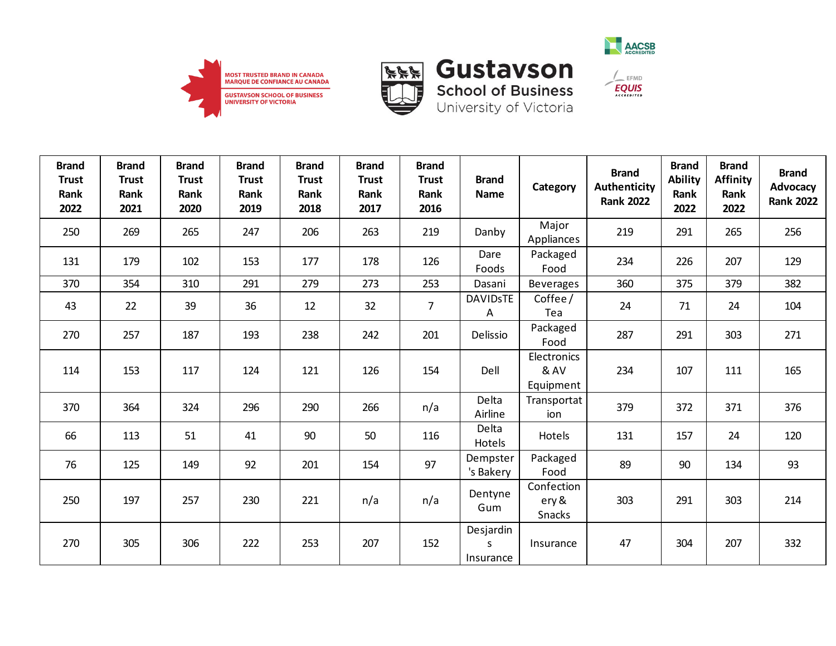





 $\frac{1}{2}$  EFMD

**EQUIS** 

| <b>Brand</b><br><b>Trust</b><br>Rank<br>2022 | <b>Brand</b><br><b>Trust</b><br>Rank<br>2021 | <b>Brand</b><br><b>Trust</b><br>Rank<br>2020 | <b>Brand</b><br><b>Trust</b><br>Rank<br>2019 | <b>Brand</b><br><b>Trust</b><br>Rank<br>2018 | <b>Brand</b><br><b>Trust</b><br>Rank<br>2017 | <b>Brand</b><br><b>Trust</b><br>Rank<br>2016 | <b>Brand</b><br><b>Name</b> | Category                             | <b>Brand</b><br><b>Authenticity</b><br><b>Rank 2022</b> | <b>Brand</b><br><b>Ability</b><br>Rank<br>2022 | <b>Brand</b><br><b>Affinity</b><br>Rank<br>2022 | <b>Brand</b><br>Advocacy<br><b>Rank 2022</b> |
|----------------------------------------------|----------------------------------------------|----------------------------------------------|----------------------------------------------|----------------------------------------------|----------------------------------------------|----------------------------------------------|-----------------------------|--------------------------------------|---------------------------------------------------------|------------------------------------------------|-------------------------------------------------|----------------------------------------------|
| 250                                          | 269                                          | 265                                          | 247                                          | 206                                          | 263                                          | 219                                          | Danby                       | Major<br>Appliances                  | 219                                                     | 291                                            | 265                                             | 256                                          |
| 131                                          | 179                                          | 102                                          | 153                                          | 177                                          | 178                                          | 126                                          | Dare<br>Foods               | Packaged<br>Food                     | 234                                                     | 226                                            | 207                                             | 129                                          |
| 370                                          | 354                                          | 310                                          | 291                                          | 279                                          | 273                                          | 253                                          | Dasani                      | <b>Beverages</b>                     | 360                                                     | 375                                            | 379                                             | 382                                          |
| 43                                           | 22                                           | 39                                           | 36                                           | 12                                           | 32                                           | $\overline{7}$                               | <b>DAVIDSTE</b><br>Α        | Coffee/<br>Tea                       | 24                                                      | 71                                             | 24                                              | 104                                          |
| 270                                          | 257                                          | 187                                          | 193                                          | 238                                          | 242                                          | 201                                          | Delissio                    | Packaged<br>Food                     | 287                                                     | 291                                            | 303                                             | 271                                          |
| 114                                          | 153                                          | 117                                          | 124                                          | 121                                          | 126                                          | 154                                          | Dell                        | Electronics<br>& AV<br>Equipment     | 234                                                     | 107                                            | 111                                             | 165                                          |
| 370                                          | 364                                          | 324                                          | 296                                          | 290                                          | 266                                          | n/a                                          | Delta<br>Airline            | Transportat<br>ion                   | 379                                                     | 372                                            | 371                                             | 376                                          |
| 66                                           | 113                                          | 51                                           | 41                                           | 90                                           | 50                                           | 116                                          | Delta<br>Hotels             | Hotels                               | 131                                                     | 157                                            | 24                                              | 120                                          |
| 76                                           | 125                                          | 149                                          | 92                                           | 201                                          | 154                                          | 97                                           | Dempster<br>'s Bakery       | Packaged<br>Food                     | 89                                                      | 90                                             | 134                                             | 93                                           |
| 250                                          | 197                                          | 257                                          | 230                                          | 221                                          | n/a                                          | n/a                                          | Dentyne<br>Gum              | Confection<br>ery &<br><b>Snacks</b> | 303                                                     | 291                                            | 303                                             | 214                                          |
| 270                                          | 305                                          | 306                                          | 222                                          | 253                                          | 207                                          | 152                                          | Desjardin<br>S              | Insurance                            | 47                                                      | 304                                            | 207                                             | 332                                          |

Insurance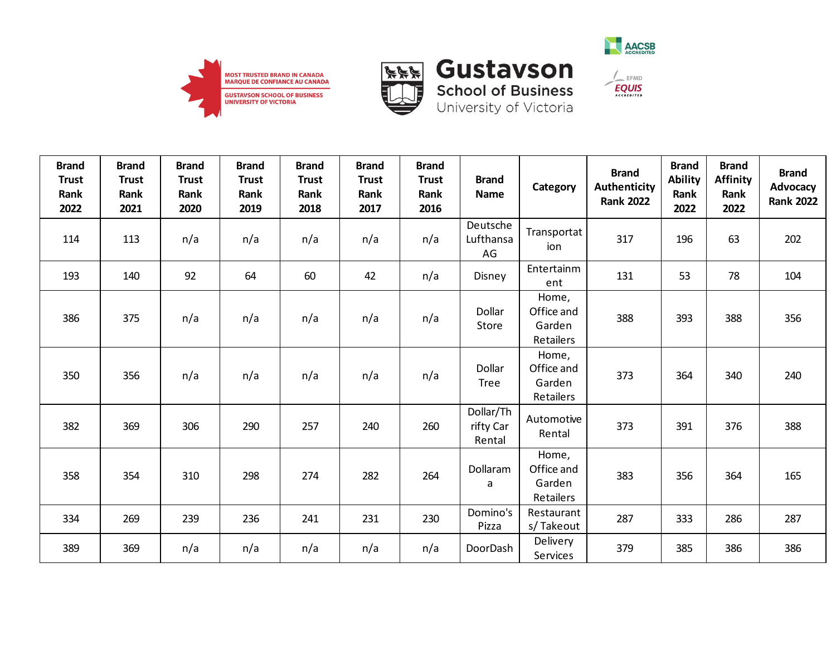





**EQUIS** 

| <b>Brand</b><br><b>Trust</b><br>Rank<br>2022 | <b>Brand</b><br><b>Trust</b><br>Rank<br>2021 | <b>Brand</b><br><b>Trust</b><br>Rank<br>2020 | <b>Brand</b><br><b>Trust</b><br>Rank<br>2019 | <b>Brand</b><br><b>Trust</b><br>Rank<br>2018 | <b>Brand</b><br><b>Trust</b><br>Rank<br>2017 | <b>Brand</b><br><b>Trust</b><br>Rank<br>2016 | <b>Brand</b><br><b>Name</b>      | Category                                   | <b>Brand</b><br><b>Authenticity</b><br><b>Rank 2022</b> | <b>Brand</b><br><b>Ability</b><br>Rank<br>2022 | <b>Brand</b><br><b>Affinity</b><br>Rank<br>2022 | <b>Brand</b><br>Advocacy<br><b>Rank 2022</b> |
|----------------------------------------------|----------------------------------------------|----------------------------------------------|----------------------------------------------|----------------------------------------------|----------------------------------------------|----------------------------------------------|----------------------------------|--------------------------------------------|---------------------------------------------------------|------------------------------------------------|-------------------------------------------------|----------------------------------------------|
| 114                                          | 113                                          | n/a                                          | n/a                                          | n/a                                          | n/a                                          | n/a                                          | Deutsche<br>Lufthansa<br>AG      | Transportat<br>ion                         | 317                                                     | 196                                            | 63                                              | 202                                          |
| 193                                          | 140                                          | 92                                           | 64                                           | 60                                           | 42                                           | n/a                                          | Disney                           | Entertainm<br>ent                          | 131                                                     | 53                                             | 78                                              | 104                                          |
| 386                                          | 375                                          | n/a                                          | n/a                                          | n/a                                          | n/a                                          | n/a                                          | Dollar<br>Store                  | Home,<br>Office and<br>Garden<br>Retailers | 388                                                     | 393                                            | 388                                             | 356                                          |
| 350                                          | 356                                          | n/a                                          | n/a                                          | n/a                                          | n/a                                          | n/a                                          | Dollar<br><b>Tree</b>            | Home,<br>Office and<br>Garden<br>Retailers | 373                                                     | 364                                            | 340                                             | 240                                          |
| 382                                          | 369                                          | 306                                          | 290                                          | 257                                          | 240                                          | 260                                          | Dollar/Th<br>rifty Car<br>Rental | Automotive<br>Rental                       | 373                                                     | 391                                            | 376                                             | 388                                          |
| 358                                          | 354                                          | 310                                          | 298                                          | 274                                          | 282                                          | 264                                          | Dollaram<br>a                    | Home,<br>Office and<br>Garden<br>Retailers | 383                                                     | 356                                            | 364                                             | 165                                          |
| 334                                          | 269                                          | 239                                          | 236                                          | 241                                          | 231                                          | 230                                          | Domino's<br>Pizza                | Restaurant<br>s/Takeout                    | 287                                                     | 333                                            | 286                                             | 287                                          |
| 389                                          | 369                                          | n/a                                          | n/a                                          | n/a                                          | n/a                                          | n/a                                          | DoorDash                         | Delivery<br>Services                       | 379                                                     | 385                                            | 386                                             | 386                                          |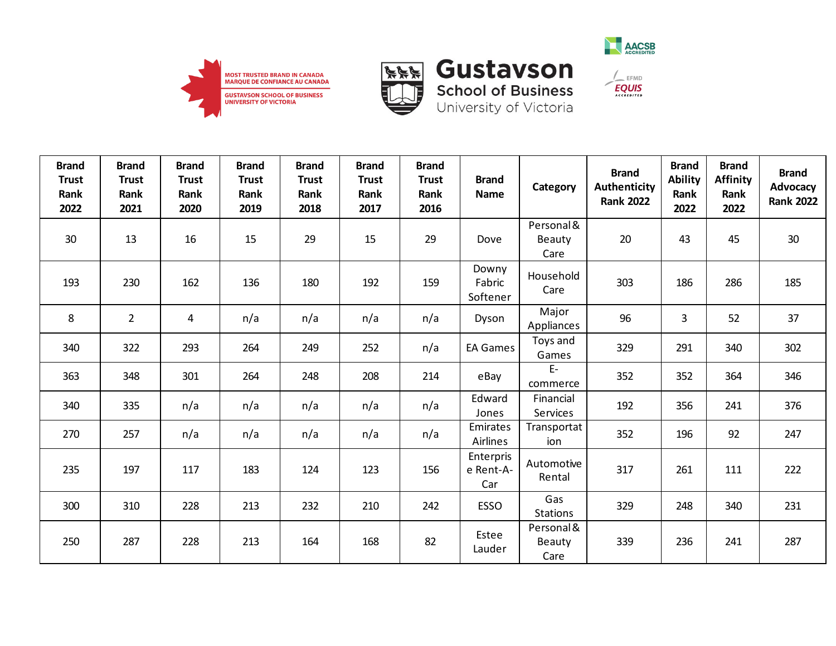





**School of Business**<br>University of Victoria

Care

| <b>Brand</b><br><b>Trust</b><br>Rank<br>2022 | <b>Brand</b><br><b>Trust</b><br>Rank<br>2021 | <b>Brand</b><br><b>Trust</b><br>Rank<br>2020 | <b>Brand</b><br><b>Trust</b><br>Rank<br>2019 | <b>Brand</b><br><b>Trust</b><br>Rank<br>2018 | <b>Brand</b><br><b>Trust</b><br>Rank<br>2017 | <b>Brand</b><br><b>Trust</b><br>Rank<br>2016 | <b>Brand</b><br><b>Name</b>   | Category                     | <b>Brand</b><br><b>Authenticity</b><br><b>Rank 2022</b> | <b>Brand</b><br><b>Ability</b><br>Rank<br>2022 | <b>Brand</b><br><b>Affinity</b><br>Rank<br>2022 | <b>Brand</b><br>Advocacy<br><b>Rank 2022</b> |
|----------------------------------------------|----------------------------------------------|----------------------------------------------|----------------------------------------------|----------------------------------------------|----------------------------------------------|----------------------------------------------|-------------------------------|------------------------------|---------------------------------------------------------|------------------------------------------------|-------------------------------------------------|----------------------------------------------|
| 30                                           | 13                                           | 16                                           | 15                                           | 29                                           | 15                                           | 29                                           | Dove                          | Personal &<br>Beauty<br>Care | 20                                                      | 43                                             | 45                                              | 30                                           |
| 193                                          | 230                                          | 162                                          | 136                                          | 180                                          | 192                                          | 159                                          | Downy<br>Fabric<br>Softener   | Household<br>Care            | 303                                                     | 186                                            | 286                                             | 185                                          |
| 8                                            | $\overline{2}$                               | 4                                            | n/a                                          | n/a                                          | n/a                                          | n/a                                          | Dyson                         | Major<br>Appliances          | 96                                                      | 3                                              | 52                                              | 37                                           |
| 340                                          | 322                                          | 293                                          | 264                                          | 249                                          | 252                                          | n/a                                          | <b>EA Games</b>               | Toys and<br>Games            | 329                                                     | 291                                            | 340                                             | 302                                          |
| 363                                          | 348                                          | 301                                          | 264                                          | 248                                          | 208                                          | 214                                          | eBay                          | $E-$<br>commerce             | 352                                                     | 352                                            | 364                                             | 346                                          |
| 340                                          | 335                                          | n/a                                          | n/a                                          | n/a                                          | n/a                                          | n/a                                          | Edward<br>Jones               | Financial<br><b>Services</b> | 192                                                     | 356                                            | 241                                             | 376                                          |
| 270                                          | 257                                          | n/a                                          | n/a                                          | n/a                                          | n/a                                          | n/a                                          | Emirates<br><b>Airlines</b>   | Transportat<br>ion           | 352                                                     | 196                                            | 92                                              | 247                                          |
| 235                                          | 197                                          | 117                                          | 183                                          | 124                                          | 123                                          | 156                                          | Enterpris<br>e Rent-A-<br>Car | Automotive<br>Rental         | 317                                                     | 261                                            | 111                                             | 222                                          |
| 300                                          | 310                                          | 228                                          | 213                                          | 232                                          | 210                                          | 242                                          | <b>ESSO</b>                   | Gas<br><b>Stations</b>       | 329                                                     | 248                                            | 340                                             | 231                                          |
| 250                                          | 287                                          | 228                                          | 213                                          | 164                                          | 168                                          | 82                                           | Estee<br>Lauder               | Personal &<br><b>Beauty</b>  | 339                                                     | 236                                            | 241                                             | 287                                          |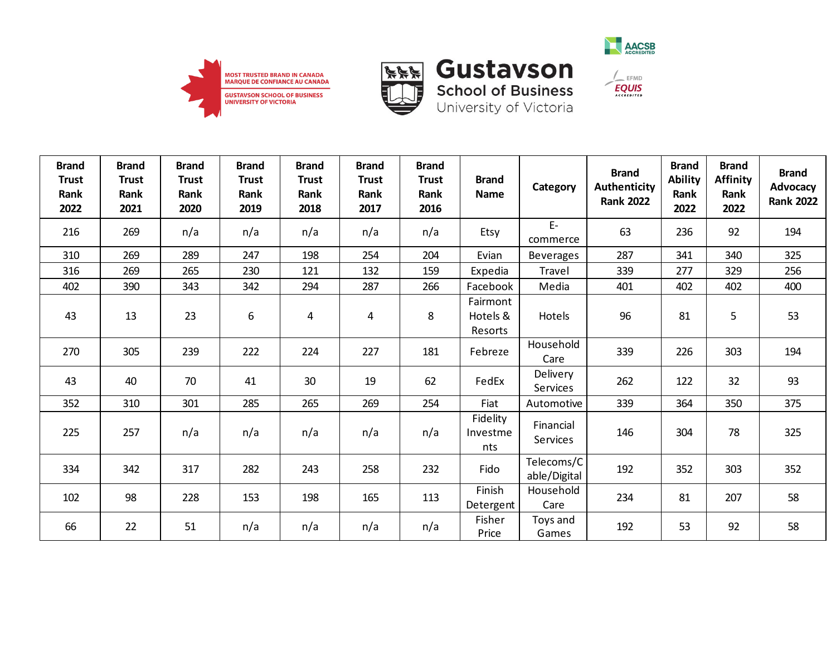





 $\frac{1}{2}$  EFMD

**EQUIS** 

| <b>Brand</b><br><b>Trust</b><br>Rank<br>2022 | <b>Brand</b><br><b>Trust</b><br>Rank<br>2021 | <b>Brand</b><br><b>Trust</b><br>Rank<br>2020 | <b>Brand</b><br><b>Trust</b><br>Rank<br>2019 | <b>Brand</b><br><b>Trust</b><br>Rank<br>2018 | <b>Brand</b><br><b>Trust</b><br>Rank<br>2017 | <b>Brand</b><br><b>Trust</b><br>Rank<br>2016 | <b>Brand</b><br><b>Name</b>     | Category                     | <b>Brand</b><br>Authenticity<br><b>Rank 2022</b> | <b>Brand</b><br><b>Ability</b><br>Rank<br>2022 | <b>Brand</b><br><b>Affinity</b><br>Rank<br>2022 | <b>Brand</b><br>Advocacy<br><b>Rank 2022</b> |
|----------------------------------------------|----------------------------------------------|----------------------------------------------|----------------------------------------------|----------------------------------------------|----------------------------------------------|----------------------------------------------|---------------------------------|------------------------------|--------------------------------------------------|------------------------------------------------|-------------------------------------------------|----------------------------------------------|
| 216                                          | 269                                          | n/a                                          | n/a                                          | n/a                                          | n/a                                          | n/a                                          | Etsy                            | $E-$<br>commerce             | 63                                               | 236                                            | 92                                              | 194                                          |
| 310                                          | 269                                          | 289                                          | 247                                          | 198                                          | 254                                          | 204                                          | Evian                           | <b>Beverages</b>             | 287                                              | 341                                            | 340                                             | 325                                          |
| 316                                          | 269                                          | 265                                          | 230                                          | 121                                          | 132                                          | 159                                          | Expedia                         | Travel                       | 339                                              | 277                                            | 329                                             | 256                                          |
| 402                                          | 390                                          | 343                                          | 342                                          | 294                                          | 287                                          | 266                                          | Facebook                        | Media                        | 401                                              | 402                                            | 402                                             | 400                                          |
| 43                                           | 13                                           | 23                                           | 6                                            | 4                                            | 4                                            | 8                                            | Fairmont<br>Hotels &<br>Resorts | Hotels                       | 96                                               | 81                                             | 5                                               | 53                                           |
| 270                                          | 305                                          | 239                                          | 222                                          | 224                                          | 227                                          | 181                                          | Febreze                         | Household<br>Care            | 339                                              | 226                                            | 303                                             | 194                                          |
| 43                                           | 40                                           | 70                                           | 41                                           | 30                                           | 19                                           | 62                                           | FedEx                           | Delivery<br><b>Services</b>  | 262                                              | 122                                            | 32                                              | 93                                           |
| 352                                          | 310                                          | 301                                          | 285                                          | 265                                          | 269                                          | 254                                          | Fiat                            | Automotive                   | 339                                              | 364                                            | 350                                             | 375                                          |
| 225                                          | 257                                          | n/a                                          | n/a                                          | n/a                                          | n/a                                          | n/a                                          | Fidelity<br>Investme<br>nts     | Financial<br><b>Services</b> | 146                                              | 304                                            | 78                                              | 325                                          |
| 334                                          | 342                                          | 317                                          | 282                                          | 243                                          | 258                                          | 232                                          | Fido                            | Telecoms/C<br>able/Digital   | 192                                              | 352                                            | 303                                             | 352                                          |
| 102                                          | 98                                           | 228                                          | 153                                          | 198                                          | 165                                          | 113                                          | Finish<br>Detergent             | Household<br>Care            | 234                                              | 81                                             | 207                                             | 58                                           |
| 66                                           | 22                                           | 51                                           | n/a                                          | n/a                                          | n/a                                          | n/a                                          | Fisher<br>Price                 | Toys and<br>Games            | 192                                              | 53                                             | 92                                              | 58                                           |

**Gustavson**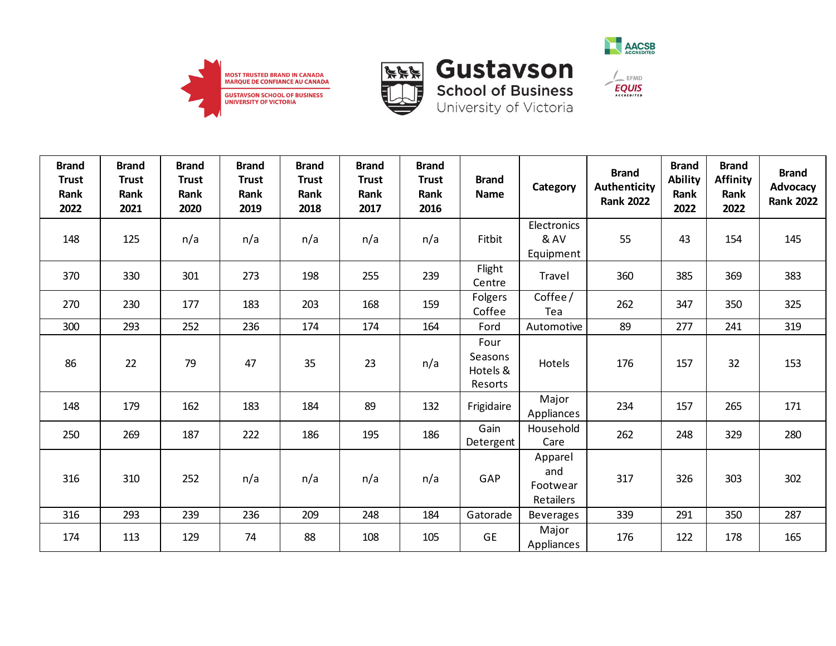





**School of Business**<br>University of Victoria

| <b>Brand</b><br><b>Trust</b><br>Rank | <b>Brand</b><br><b>Trust</b><br>Rank | <b>Brand</b><br><b>Trust</b><br>Rank | <b>Brand</b><br><b>Trust</b><br>Rank | <b>Brand</b><br><b>Trust</b><br>Rank | <b>Brand</b><br><b>Trust</b><br>Rank | <b>Brand</b><br><b>Trust</b><br>Rank | <b>Brand</b><br><b>Name</b>            | Category                                       | <b>Brand</b><br>Authenticity<br><b>Rank 2022</b> | <b>Brand</b><br><b>Ability</b><br>Rank | <b>Brand</b><br><b>Affinity</b><br>Rank | <b>Brand</b><br>Advocacy<br><b>Rank 2022</b> |
|--------------------------------------|--------------------------------------|--------------------------------------|--------------------------------------|--------------------------------------|--------------------------------------|--------------------------------------|----------------------------------------|------------------------------------------------|--------------------------------------------------|----------------------------------------|-----------------------------------------|----------------------------------------------|
| 2022                                 | 2021                                 | 2020                                 | 2019                                 | 2018                                 | 2017                                 | 2016                                 |                                        |                                                |                                                  | 2022                                   | 2022                                    |                                              |
| 148                                  | 125                                  | n/a                                  | n/a                                  | n/a                                  | n/a                                  | n/a                                  | Fitbit                                 | Electronics<br>& AV<br>Equipment               | 55                                               | 43                                     | 154                                     | 145                                          |
| 370                                  | 330                                  | 301                                  | 273                                  | 198                                  | 255                                  | 239                                  | Flight<br>Centre                       | Travel                                         | 360                                              | 385                                    | 369                                     | 383                                          |
| 270                                  | 230                                  | 177                                  | 183                                  | 203                                  | 168                                  | 159                                  | Folgers<br>Coffee                      | Coffee/<br>Tea                                 | 262                                              | 347                                    | 350                                     | 325                                          |
| 300                                  | 293                                  | 252                                  | 236                                  | 174                                  | 174                                  | 164                                  | Ford                                   | Automotive                                     | 89                                               | 277                                    | 241                                     | 319                                          |
| 86                                   | 22                                   | 79                                   | 47                                   | 35                                   | 23                                   | n/a                                  | Four<br>Seasons<br>Hotels &<br>Resorts | Hotels                                         | 176                                              | 157                                    | 32                                      | 153                                          |
| 148                                  | 179                                  | 162                                  | 183                                  | 184                                  | 89                                   | 132                                  | Frigidaire                             | Major<br>Appliances                            | 234                                              | 157                                    | 265                                     | 171                                          |
| 250                                  | 269                                  | 187                                  | 222                                  | 186                                  | 195                                  | 186                                  | Gain<br>Detergent                      | Household<br>Care                              | 262                                              | 248                                    | 329                                     | 280                                          |
| 316                                  | 310                                  | 252                                  | n/a                                  | n/a                                  | n/a                                  | n/a                                  | GAP                                    | Apparel<br>and<br>Footwear<br><b>Retailers</b> | 317                                              | 326                                    | 303                                     | 302                                          |
| 316                                  | 293                                  | 239                                  | 236                                  | 209                                  | 248                                  | 184                                  | Gatorade                               | <b>Beverages</b>                               | 339                                              | 291                                    | 350                                     | 287                                          |
| 174                                  | 113                                  | 129                                  | 74                                   | 88                                   | 108                                  | 105                                  | <b>GE</b>                              | Major<br>Appliances                            | 176                                              | 122                                    | 178                                     | 165                                          |

 $\frac{1}{2}$  EFMD  $EQUIS$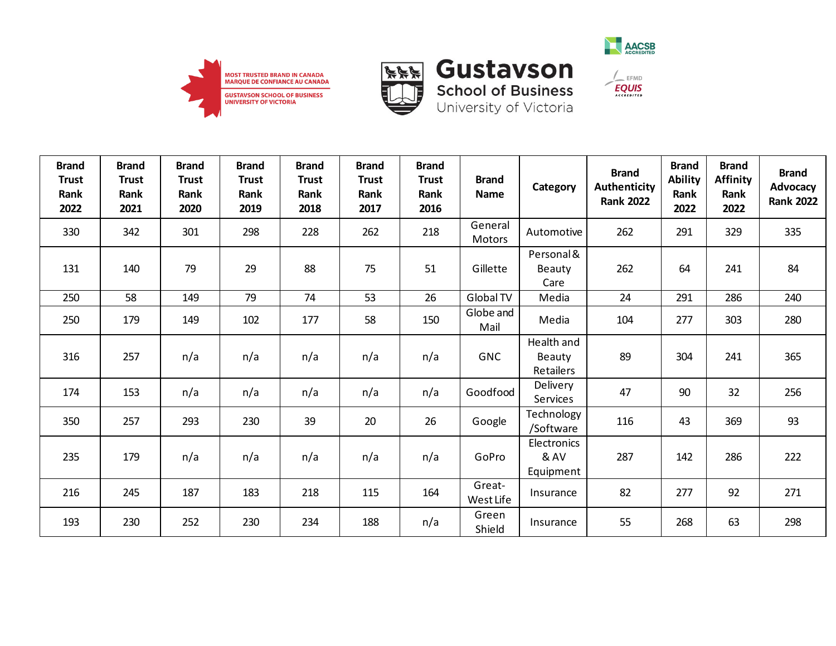





| <b>Brand</b><br><b>Trust</b><br>Rank<br>2022 | <b>Brand</b><br><b>Trust</b><br>Rank<br>2021 | <b>Brand</b><br><b>Trust</b><br>Rank<br>2020 | <b>Brand</b><br><b>Trust</b><br>Rank<br>2019 | <b>Brand</b><br><b>Trust</b><br><b>Rank</b><br>2018 | <b>Brand</b><br><b>Trust</b><br>Rank<br>2017 | <b>Brand</b><br><b>Trust</b><br>Rank<br>2016 | <b>Brand</b><br><b>Name</b> | Category                                 | <b>Brand</b><br>Authenticity<br><b>Rank 2022</b> | <b>Brand</b><br><b>Ability</b><br>Rank<br>2022 | <b>Brand</b><br><b>Affinity</b><br>Rank<br>2022 | <b>Brand</b><br>Advocacy<br><b>Rank 2022</b> |
|----------------------------------------------|----------------------------------------------|----------------------------------------------|----------------------------------------------|-----------------------------------------------------|----------------------------------------------|----------------------------------------------|-----------------------------|------------------------------------------|--------------------------------------------------|------------------------------------------------|-------------------------------------------------|----------------------------------------------|
| 330                                          | 342                                          | 301                                          | 298                                          | 228                                                 | 262                                          | 218                                          | General<br><b>Motors</b>    | Automotive                               | 262                                              | 291                                            | 329                                             | 335                                          |
| 131                                          | 140                                          | 79                                           | 29                                           | 88                                                  | 75                                           | 51                                           | Gillette                    | Personal &<br>Beauty<br>Care             | 262                                              | 64                                             | 241                                             | 84                                           |
| 250                                          | 58                                           | 149                                          | 79                                           | 74                                                  | 53                                           | 26                                           | Global TV                   | Media                                    | 24                                               | 291                                            | 286                                             | 240                                          |
| 250                                          | 179                                          | 149                                          | 102                                          | 177                                                 | 58                                           | 150                                          | Globe and<br>Mail           | Media                                    | 104                                              | 277                                            | 303                                             | 280                                          |
| 316                                          | 257                                          | n/a                                          | n/a                                          | n/a                                                 | n/a                                          | n/a                                          | <b>GNC</b>                  | Health and<br><b>Beauty</b><br>Retailers | 89                                               | 304                                            | 241                                             | 365                                          |
| 174                                          | 153                                          | n/a                                          | n/a                                          | n/a                                                 | n/a                                          | n/a                                          | Goodfood                    | Delivery<br>Services                     | 47                                               | 90                                             | 32                                              | 256                                          |
| 350                                          | 257                                          | 293                                          | 230                                          | 39                                                  | 20                                           | 26                                           | Google                      | Technology<br>/Software                  | 116                                              | 43                                             | 369                                             | 93                                           |
| 235                                          | 179                                          | n/a                                          | n/a                                          | n/a                                                 | n/a                                          | n/a                                          | GoPro                       | Electronics<br>& AV<br>Equipment         | 287                                              | 142                                            | 286                                             | 222                                          |
| 216                                          | 245                                          | 187                                          | 183                                          | 218                                                 | 115                                          | 164                                          | Great-<br>West Life         | Insurance                                | 82                                               | 277                                            | 92                                              | 271                                          |
| 193                                          | 230                                          | 252                                          | 230                                          | 234                                                 | 188                                          | n/a                                          | Green<br>Shield             | Insurance                                | 55                                               | 268                                            | 63                                              | 298                                          |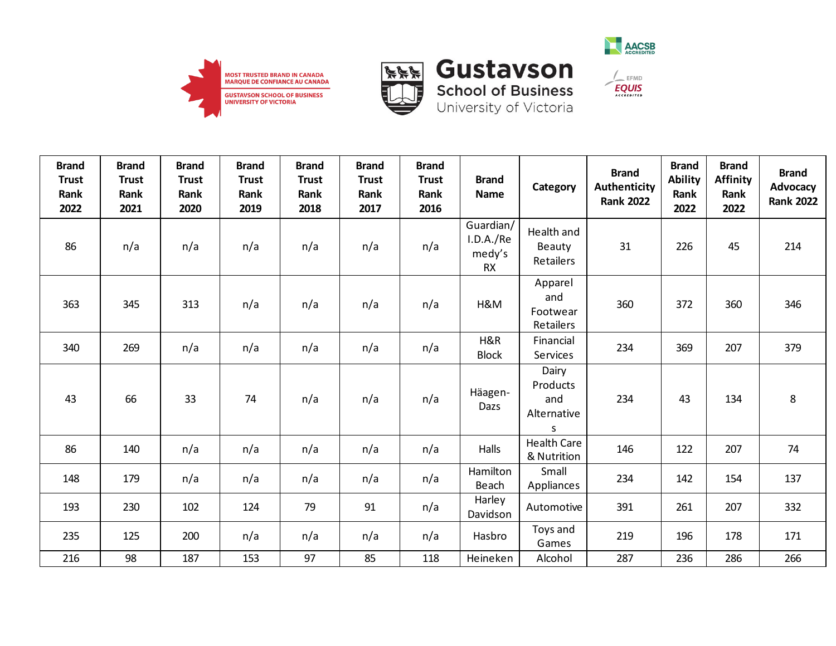





| <b>Brand</b><br><b>Trust</b><br>Rank<br>2022 | <b>Brand</b><br><b>Trust</b><br>Rank<br>2021 | <b>Brand</b><br><b>Trust</b><br>Rank<br>2020 | <b>Brand</b><br><b>Trust</b><br>Rank<br>2019 | <b>Brand</b><br><b>Trust</b><br>Rank<br>2018 | <b>Brand</b><br><b>Trust</b><br>Rank<br>2017 | <b>Brand</b><br><b>Trust</b><br>Rank<br>2016 | <b>Brand</b><br><b>Name</b>                   | Category                                     | <b>Brand</b><br><b>Authenticity</b><br><b>Rank 2022</b> | <b>Brand</b><br><b>Ability</b><br>Rank<br>2022 | <b>Brand</b><br><b>Affinity</b><br>Rank<br>2022 | <b>Brand</b><br><b>Advocacy</b><br><b>Rank 2022</b> |
|----------------------------------------------|----------------------------------------------|----------------------------------------------|----------------------------------------------|----------------------------------------------|----------------------------------------------|----------------------------------------------|-----------------------------------------------|----------------------------------------------|---------------------------------------------------------|------------------------------------------------|-------------------------------------------------|-----------------------------------------------------|
| 86                                           | n/a                                          | n/a                                          | n/a                                          | n/a                                          | n/a                                          | n/a                                          | Guardian/<br>I.D.A./Re<br>medy's<br><b>RX</b> | Health and<br><b>Beauty</b><br>Retailers     | 31                                                      | 226                                            | 45                                              | 214                                                 |
| 363                                          | 345                                          | 313                                          | n/a                                          | n/a                                          | n/a                                          | n/a                                          | H&M                                           | Apparel<br>and<br>Footwear<br>Retailers      | 360                                                     | 372                                            | 360                                             | 346                                                 |
| 340                                          | 269                                          | n/a                                          | n/a                                          | n/a                                          | n/a                                          | n/a                                          | H&R<br><b>Block</b>                           | Financial<br>Services                        | 234                                                     | 369                                            | 207                                             | 379                                                 |
| 43                                           | 66                                           | 33                                           | 74                                           | n/a                                          | n/a                                          | n/a                                          | Häagen-<br>Dazs                               | Dairy<br>Products<br>and<br>Alternative<br>S | 234                                                     | 43                                             | 134                                             | 8                                                   |
| 86                                           | 140                                          | n/a                                          | n/a                                          | n/a                                          | n/a                                          | n/a                                          | Halls                                         | <b>Health Care</b><br>& Nutrition            | 146                                                     | 122                                            | 207                                             | 74                                                  |
| 148                                          | 179                                          | n/a                                          | n/a                                          | n/a                                          | n/a                                          | n/a                                          | Hamilton<br>Beach                             | Small<br>Appliances                          | 234                                                     | 142                                            | 154                                             | 137                                                 |
| 193                                          | 230                                          | 102                                          | 124                                          | 79                                           | 91                                           | n/a                                          | Harley<br>Davidson                            | Automotive                                   | 391                                                     | 261                                            | 207                                             | 332                                                 |
| 235                                          | 125                                          | 200                                          | n/a                                          | n/a                                          | n/a                                          | n/a                                          | Hasbro                                        | Toys and<br>Games                            | 219                                                     | 196                                            | 178                                             | 171                                                 |
| 216                                          | 98                                           | 187                                          | 153                                          | 97                                           | 85                                           | 118                                          | Heineken                                      | Alcohol                                      | 287                                                     | 236                                            | 286                                             | 266                                                 |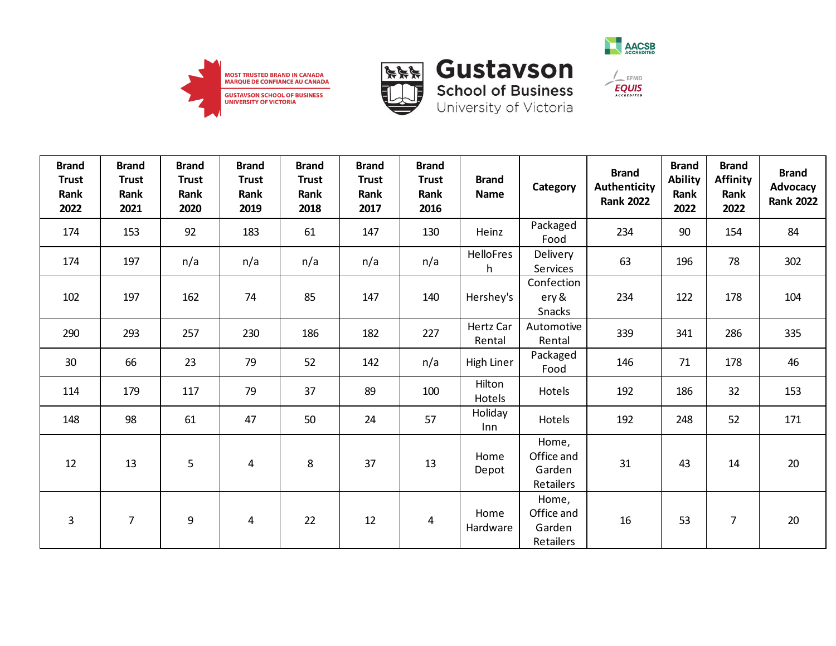





| <b>Brand</b><br><b>Trust</b><br>Rank<br>2022 | <b>Brand</b><br><b>Trust</b><br>Rank<br>2021 | <b>Brand</b><br><b>Trust</b><br>Rank<br>2020 | <b>Brand</b><br><b>Trust</b><br>Rank<br>2019 | <b>Brand</b><br><b>Trust</b><br><b>Rank</b><br>2018 | <b>Brand</b><br><b>Trust</b><br>Rank<br>2017 | <b>Brand</b><br><b>Trust</b><br>Rank<br>2016 | <b>Brand</b><br><b>Name</b> | Category                                   | <b>Brand</b><br>Authenticity<br><b>Rank 2022</b> | <b>Brand</b><br><b>Ability</b><br>Rank<br>2022 | <b>Brand</b><br>Affinity<br>Rank<br>2022 | <b>Brand</b><br>Advocacy<br><b>Rank 2022</b> |
|----------------------------------------------|----------------------------------------------|----------------------------------------------|----------------------------------------------|-----------------------------------------------------|----------------------------------------------|----------------------------------------------|-----------------------------|--------------------------------------------|--------------------------------------------------|------------------------------------------------|------------------------------------------|----------------------------------------------|
| 174                                          | 153                                          | 92                                           | 183                                          | 61                                                  | 147                                          | 130                                          | Heinz                       | Packaged<br>Food                           | 234                                              | 90                                             | 154                                      | 84                                           |
| 174                                          | 197                                          | n/a                                          | n/a                                          | n/a                                                 | n/a                                          | n/a                                          | <b>HelloFres</b><br>h       | Delivery<br>Services                       | 63                                               | 196                                            | 78                                       | 302                                          |
| 102                                          | 197                                          | 162                                          | 74                                           | 85                                                  | 147                                          | 140                                          | Hershey's                   | Confection<br>ery &<br>Snacks              | 234                                              | 122                                            | 178                                      | 104                                          |
| 290                                          | 293                                          | 257                                          | 230                                          | 186                                                 | 182                                          | 227                                          | Hertz Car<br>Rental         | Automotive<br>Rental                       | 339                                              | 341                                            | 286                                      | 335                                          |
| 30 <sup>°</sup>                              | 66                                           | 23                                           | 79                                           | 52                                                  | 142                                          | n/a                                          | High Liner                  | Packaged<br>Food                           | 146                                              | 71                                             | 178                                      | 46                                           |
| 114                                          | 179                                          | 117                                          | 79                                           | 37                                                  | 89                                           | 100                                          | Hilton<br>Hotels            | Hotels                                     | 192                                              | 186                                            | 32                                       | 153                                          |
| 148                                          | 98                                           | 61                                           | 47                                           | 50                                                  | 24                                           | 57                                           | Holiday<br>Inn              | Hotels                                     | 192                                              | 248                                            | 52                                       | 171                                          |
| 12                                           | 13                                           | 5                                            | $\overline{4}$                               | 8                                                   | 37                                           | 13                                           | Home<br>Depot               | Home,<br>Office and<br>Garden<br>Retailers | 31                                               | 43                                             | 14                                       | $20\,$                                       |
| 3                                            | $\overline{7}$                               | 9                                            | 4                                            | 22                                                  | 12                                           | 4                                            | Home<br>Hardware            | Home,<br>Office and<br>Garden<br>Retailers | 16                                               | 53                                             | $\overline{7}$                           | 20                                           |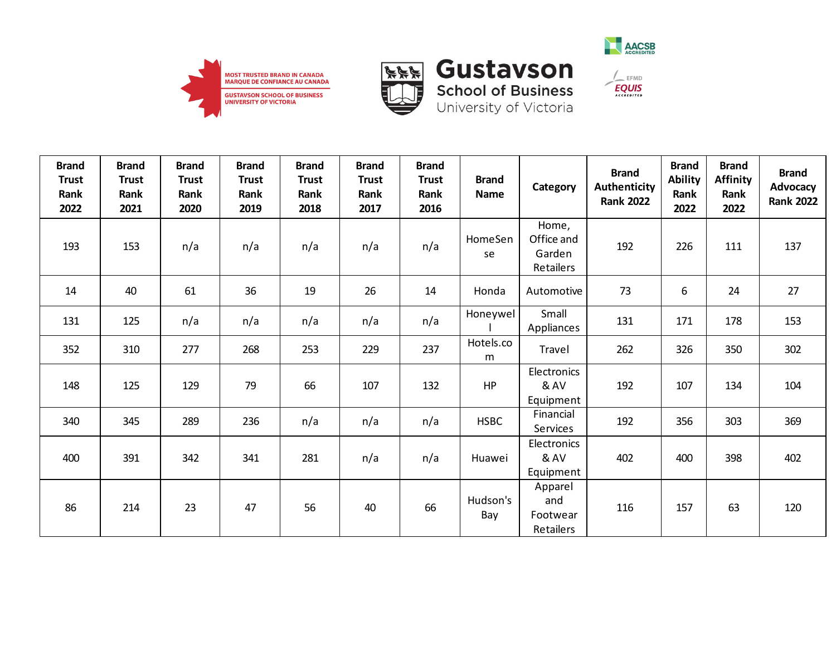





**School of Business**<br>University of Victoria

| <b>Brand</b><br><b>Trust</b><br>Rank<br>2022 | <b>Brand</b><br><b>Trust</b><br>Rank<br>2021 | <b>Brand</b><br><b>Trust</b><br>Rank<br>2020 | <b>Brand</b><br><b>Trust</b><br>Rank<br>2019 | <b>Brand</b><br><b>Trust</b><br>Rank<br>2018 | <b>Brand</b><br><b>Trust</b><br>Rank<br>2017 | <b>Brand</b><br><b>Trust</b><br>Rank<br>2016 | <b>Brand</b><br><b>Name</b> | Category                                   | <b>Brand</b><br>Authenticity<br><b>Rank 2022</b> | <b>Brand</b><br><b>Ability</b><br>Rank<br>2022 | <b>Brand</b><br><b>Affinity</b><br>Rank<br>2022 | <b>Brand</b><br>Advocacy<br><b>Rank 2022</b> |
|----------------------------------------------|----------------------------------------------|----------------------------------------------|----------------------------------------------|----------------------------------------------|----------------------------------------------|----------------------------------------------|-----------------------------|--------------------------------------------|--------------------------------------------------|------------------------------------------------|-------------------------------------------------|----------------------------------------------|
| 193                                          | 153                                          | n/a                                          | n/a                                          | n/a                                          | n/a                                          | n/a                                          | HomeSen<br>se               | Home,<br>Office and<br>Garden<br>Retailers | 192                                              | 226                                            | 111                                             | 137                                          |
| 14                                           | 40                                           | 61                                           | 36                                           | 19                                           | 26                                           | 14                                           | Honda                       | Automotive                                 | 73                                               | 6                                              | 24                                              | 27                                           |
| 131                                          | 125                                          | n/a                                          | n/a                                          | n/a                                          | n/a                                          | n/a                                          | Honeywel                    | Small<br>Appliances                        | 131                                              | 171                                            | 178                                             | 153                                          |
| 352                                          | 310                                          | 277                                          | 268                                          | 253                                          | 229                                          | 237                                          | Hotels.co<br>m              | Travel                                     | 262                                              | 326                                            | 350                                             | 302                                          |
| 148                                          | 125                                          | 129                                          | 79                                           | 66                                           | 107                                          | 132                                          | HP                          | Electronics<br>& AV<br>Equipment           | 192                                              | 107                                            | 134                                             | 104                                          |
| 340                                          | 345                                          | 289                                          | 236                                          | n/a                                          | n/a                                          | n/a                                          | <b>HSBC</b>                 | Financial<br>Services                      | 192                                              | 356                                            | 303                                             | 369                                          |
| 400                                          | 391                                          | 342                                          | 341                                          | 281                                          | n/a                                          | n/a                                          | Huawei                      | Electronics<br>& AV<br>Equipment           | 402                                              | 400                                            | 398                                             | 402                                          |
| 86                                           | 214                                          | 23                                           | 47                                           | 56                                           | 40                                           | 66                                           | Hudson's<br>Bay             | Apparel<br>and<br>Footwear<br>Retailers    | 116                                              | 157                                            | 63                                              | 120                                          |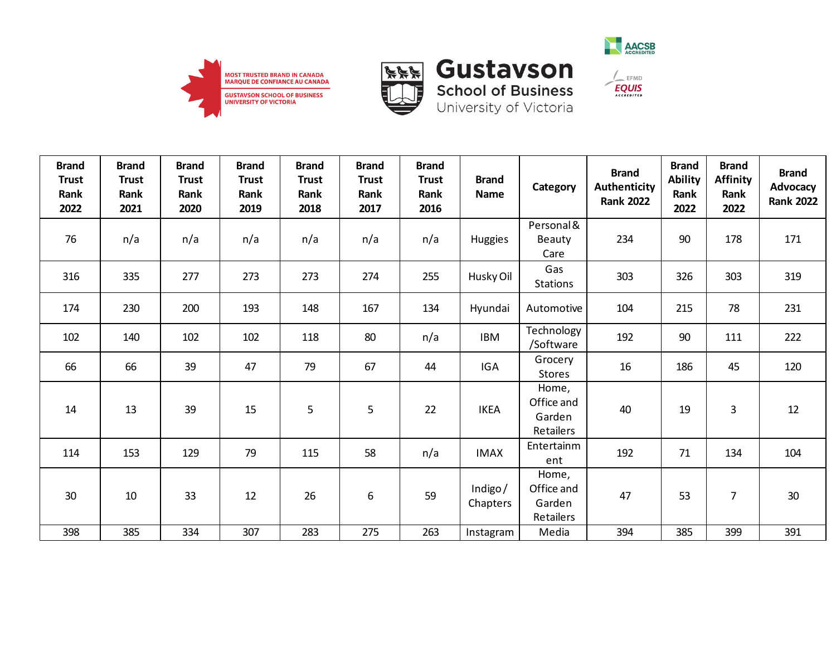





| <b>Brand</b><br><b>Trust</b><br>Rank<br>2022 | <b>Brand</b><br><b>Trust</b><br>Rank<br>2021 | <b>Brand</b><br><b>Trust</b><br>Rank<br>2020 | <b>Brand</b><br><b>Trust</b><br>Rank<br>2019 | <b>Brand</b><br><b>Trust</b><br>Rank<br>2018 | <b>Brand</b><br><b>Trust</b><br>Rank<br>2017 | <b>Brand</b><br><b>Trust</b><br>Rank<br>2016 | <b>Brand</b><br><b>Name</b> | Category                                   | <b>Brand</b><br><b>Authenticity</b><br><b>Rank 2022</b> | <b>Brand</b><br><b>Ability</b><br>Rank<br>2022 | <b>Brand</b><br><b>Affinity</b><br>Rank<br>2022 | <b>Brand</b><br><b>Advocacy</b><br><b>Rank 2022</b> |
|----------------------------------------------|----------------------------------------------|----------------------------------------------|----------------------------------------------|----------------------------------------------|----------------------------------------------|----------------------------------------------|-----------------------------|--------------------------------------------|---------------------------------------------------------|------------------------------------------------|-------------------------------------------------|-----------------------------------------------------|
| 76                                           | n/a                                          | n/a                                          | n/a                                          | n/a                                          | n/a                                          | n/a                                          | <b>Huggies</b>              | Personal &<br>Beauty<br>Care               | 234                                                     | 90                                             | 178                                             | 171                                                 |
| 316                                          | 335                                          | 277                                          | 273                                          | 273                                          | 274                                          | 255                                          | Husky Oil                   | Gas<br><b>Stations</b>                     | 303                                                     | 326                                            | 303                                             | 319                                                 |
| 174                                          | 230                                          | 200                                          | 193                                          | 148                                          | 167                                          | 134                                          | Hyundai                     | Automotive                                 | 104                                                     | 215                                            | 78                                              | 231                                                 |
| 102                                          | 140                                          | 102                                          | 102                                          | 118                                          | 80                                           | n/a                                          | <b>IBM</b>                  | Technology<br>/Software                    | 192                                                     | 90                                             | 111                                             | 222                                                 |
| 66                                           | 66                                           | 39                                           | 47                                           | 79                                           | 67                                           | 44                                           | IGA                         | Grocery<br><b>Stores</b>                   | 16                                                      | 186                                            | 45                                              | 120                                                 |
| 14                                           | 13                                           | 39                                           | 15                                           | 5                                            | 5                                            | 22                                           | <b>IKEA</b>                 | Home,<br>Office and<br>Garden<br>Retailers | 40                                                      | 19                                             | 3                                               | 12                                                  |
| 114                                          | 153                                          | 129                                          | 79                                           | 115                                          | 58                                           | n/a                                          | <b>IMAX</b>                 | Entertainm<br>ent                          | 192                                                     | 71                                             | 134                                             | 104                                                 |
| 30                                           | 10                                           | 33                                           | 12                                           | 26                                           | 6                                            | 59                                           | Indigo/<br>Chapters         | Home,<br>Office and<br>Garden<br>Retailers | 47                                                      | 53                                             | 7                                               | 30                                                  |
| 398                                          | 385                                          | 334                                          | 307                                          | 283                                          | 275                                          | 263                                          | Instagram                   | Media                                      | 394                                                     | 385                                            | 399                                             | 391                                                 |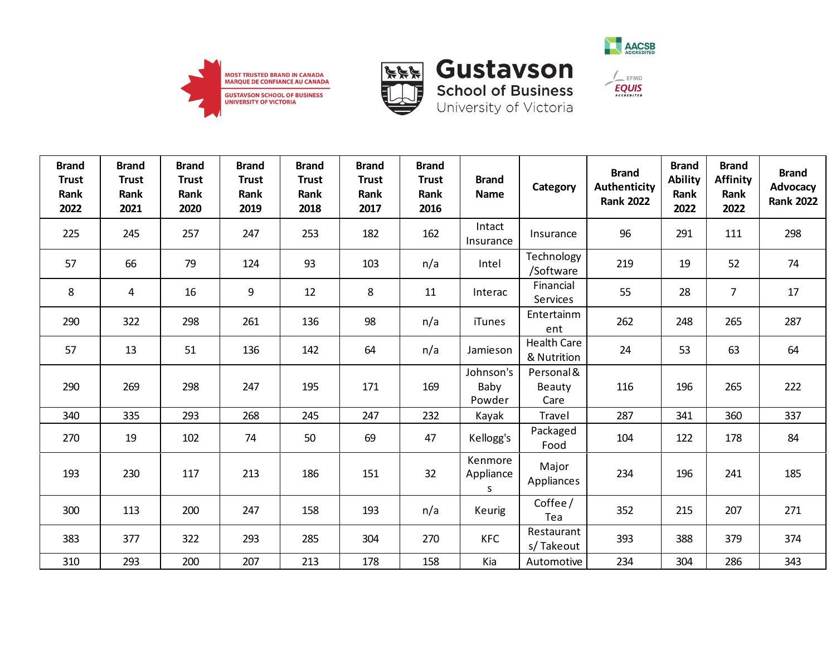



**School of Business** 

University of Victoria



 $\frac{1}{2}$  EFMD **EQUIS** 

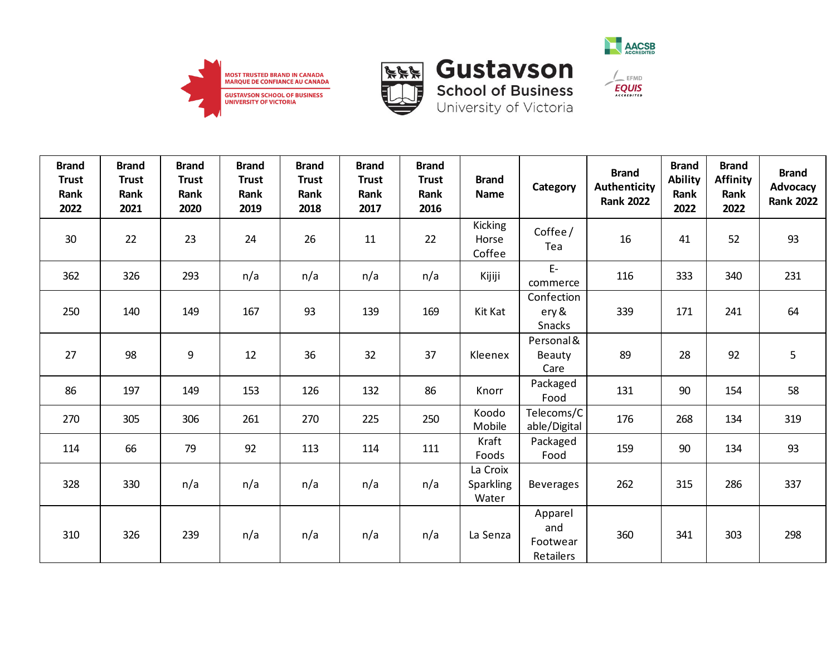





| <b>Brand</b><br><b>Trust</b><br>Rank<br>2022 | <b>Brand</b><br><b>Trust</b><br>Rank<br>2021 | <b>Brand</b><br><b>Trust</b><br>Rank<br>2020 | <b>Brand</b><br><b>Trust</b><br>Rank<br>2019 | <b>Brand</b><br><b>Trust</b><br>Rank<br>2018 | <b>Brand</b><br><b>Trust</b><br>Rank<br>2017 | <b>Brand</b><br><b>Trust</b><br>Rank<br>2016 | <b>Brand</b><br><b>Name</b>       | Category                                | <b>Brand</b><br><b>Authenticity</b><br><b>Rank 2022</b> | <b>Brand</b><br><b>Ability</b><br>Rank<br>2022 | <b>Brand</b><br><b>Affinity</b><br>Rank<br>2022 | <b>Brand</b><br>Advocacy<br><b>Rank 2022</b> |
|----------------------------------------------|----------------------------------------------|----------------------------------------------|----------------------------------------------|----------------------------------------------|----------------------------------------------|----------------------------------------------|-----------------------------------|-----------------------------------------|---------------------------------------------------------|------------------------------------------------|-------------------------------------------------|----------------------------------------------|
| 30                                           | 22                                           | 23                                           | 24                                           | 26                                           | 11                                           | 22                                           | <b>Kicking</b><br>Horse<br>Coffee | Coffee/<br>Tea                          | 16                                                      | 41                                             | 52                                              | 93                                           |
| 362                                          | 326                                          | 293                                          | n/a                                          | n/a                                          | n/a                                          | n/a                                          | Kijiji                            | $E-$<br>commerce                        | 116                                                     | 333                                            | 340                                             | 231                                          |
| 250                                          | 140                                          | 149                                          | 167                                          | 93                                           | 139                                          | 169                                          | Kit Kat                           | Confection<br>ery &<br>Snacks           | 339                                                     | 171                                            | 241                                             | 64                                           |
| 27                                           | 98                                           | $\boldsymbol{9}$                             | 12                                           | 36                                           | 32                                           | 37                                           | Kleenex                           | Personal &<br>Beauty<br>Care            | 89                                                      | 28                                             | 92                                              | 5                                            |
| 86                                           | 197                                          | 149                                          | 153                                          | 126                                          | 132                                          | 86                                           | Knorr                             | Packaged<br>Food                        | 131                                                     | 90                                             | 154                                             | 58                                           |
| 270                                          | 305                                          | 306                                          | 261                                          | 270                                          | 225                                          | 250                                          | Koodo<br>Mobile                   | Telecoms/C<br>able/Digital              | 176                                                     | 268                                            | 134                                             | 319                                          |
| 114                                          | 66                                           | 79                                           | 92                                           | 113                                          | 114                                          | 111                                          | Kraft<br>Foods                    | Packaged<br>Food                        | 159                                                     | 90                                             | 134                                             | 93                                           |
| 328                                          | 330                                          | n/a                                          | n/a                                          | n/a                                          | n/a                                          | n/a                                          | La Croix<br>Sparkling<br>Water    | <b>Beverages</b>                        | 262                                                     | 315                                            | 286                                             | 337                                          |
| 310                                          | 326                                          | 239                                          | n/a                                          | n/a                                          | n/a                                          | n/a                                          | La Senza                          | Apparel<br>and<br>Footwear<br>Retailers | 360                                                     | 341                                            | 303                                             | 298                                          |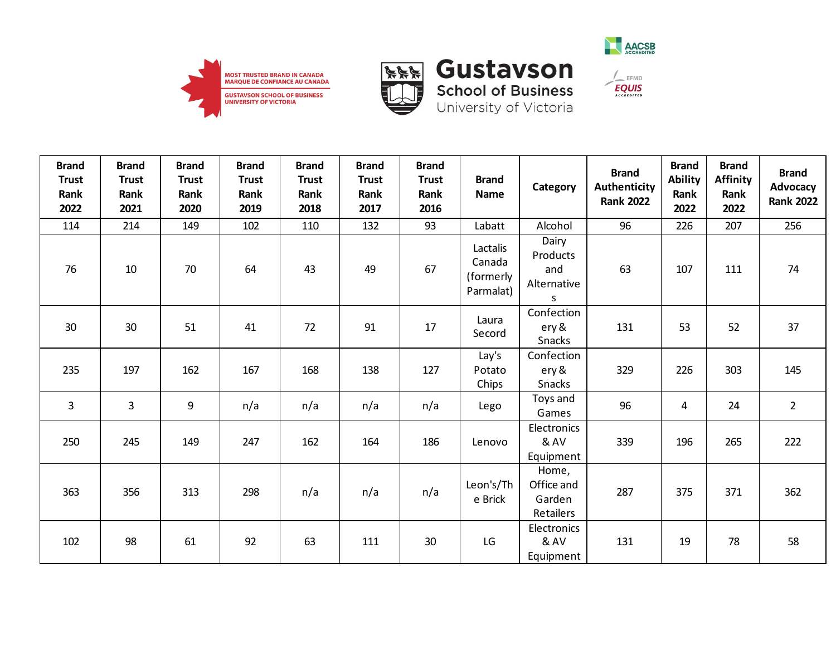







 $\frac{1}{2}$  EFMD

| <b>Brand</b><br><b>Trust</b><br>Rank<br>2022 | <b>Brand</b><br><b>Trust</b><br>Rank<br>2021 | <b>Brand</b><br><b>Trust</b><br>Rank<br>2020 | <b>Brand</b><br><b>Trust</b><br>Rank<br>2019 | <b>Brand</b><br><b>Trust</b><br>Rank<br>2018 | <b>Brand</b><br><b>Trust</b><br>Rank<br>2017 | <b>Brand</b><br><b>Trust</b><br>Rank<br>2016 | <b>Brand</b><br><b>Name</b>                  | Category                                          | <b>Brand</b><br>Authenticity<br><b>Rank 2022</b> | <b>Brand</b><br><b>Ability</b><br>Rank<br>2022 | <b>Brand</b><br><b>Affinity</b><br>Rank<br>2022 | <b>Brand</b><br>Advocacy<br><b>Rank 2022</b> |
|----------------------------------------------|----------------------------------------------|----------------------------------------------|----------------------------------------------|----------------------------------------------|----------------------------------------------|----------------------------------------------|----------------------------------------------|---------------------------------------------------|--------------------------------------------------|------------------------------------------------|-------------------------------------------------|----------------------------------------------|
| 114                                          | 214                                          | 149                                          | 102                                          | 110                                          | 132                                          | 93                                           | Labatt                                       | Alcohol                                           | 96                                               | 226                                            | 207                                             | 256                                          |
| 76                                           | 10                                           | 70                                           | 64                                           | 43                                           | 49                                           | 67                                           | Lactalis<br>Canada<br>(formerly<br>Parmalat) | Dairy<br>Products<br>and<br>Alternative<br>S      | 63                                               | 107                                            | 111                                             | 74                                           |
| 30                                           | 30                                           | 51                                           | 41                                           | 72                                           | 91                                           | 17                                           | Laura<br>Secord                              | Confection<br>ery &<br>Snacks                     | 131                                              | 53                                             | 52                                              | 37                                           |
| 235                                          | 197                                          | 162                                          | 167                                          | 168                                          | 138                                          | 127                                          | Lay's<br>Potato<br>Chips                     | Confection<br>ery &<br>Snacks                     | 329                                              | 226                                            | 303                                             | 145                                          |
| 3                                            | 3                                            | 9                                            | n/a                                          | n/a                                          | n/a                                          | n/a                                          | Lego                                         | Toys and<br>Games                                 | 96                                               | 4                                              | 24                                              | $\overline{2}$                               |
| 250                                          | 245                                          | 149                                          | 247                                          | 162                                          | 164                                          | 186                                          | Lenovo                                       | Electronics<br>& AV<br>Equipment                  | 339                                              | 196                                            | 265                                             | 222                                          |
| 363                                          | 356                                          | 313                                          | 298                                          | n/a                                          | n/a                                          | n/a                                          | Leon's/Th<br>e Brick                         | Home,<br>Office and<br>Garden<br><b>Retailers</b> | 287                                              | 375                                            | 371                                             | 362                                          |
| 102                                          | 98                                           | 61                                           | 92                                           | 63                                           | 111                                          | 30                                           | LG                                           | Electronics<br>& AV<br>Equipment                  | 131                                              | 19                                             | 78                                              | 58                                           |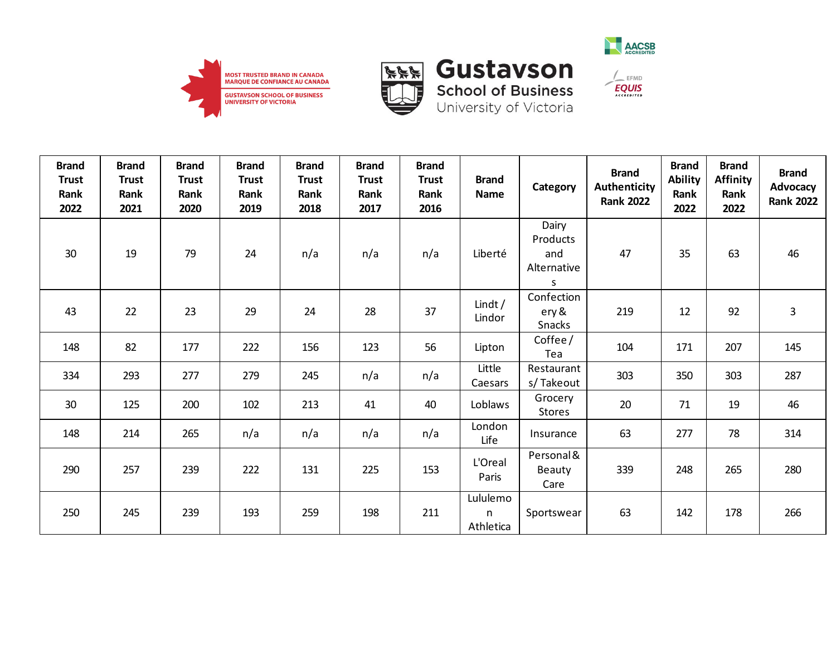





| <b>Brand</b><br><b>Trust</b><br>Rank<br>2022 | <b>Brand</b><br><b>Trust</b><br>Rank<br>2021 | <b>Brand</b><br><b>Trust</b><br>Rank<br>2020 | <b>Brand</b><br><b>Trust</b><br>Rank<br>2019 | <b>Brand</b><br><b>Trust</b><br>Rank<br>2018 | <b>Brand</b><br><b>Trust</b><br>Rank<br>2017 | <b>Brand</b><br><b>Trust</b><br>Rank<br>2016 | <b>Brand</b><br><b>Name</b> | Category                                     | <b>Brand</b><br><b>Authenticity</b><br><b>Rank 2022</b> | <b>Brand</b><br><b>Ability</b><br>Rank<br>2022 | <b>Brand</b><br><b>Affinity</b><br>Rank<br>2022 | <b>Brand</b><br>Advocacy<br><b>Rank 2022</b> |
|----------------------------------------------|----------------------------------------------|----------------------------------------------|----------------------------------------------|----------------------------------------------|----------------------------------------------|----------------------------------------------|-----------------------------|----------------------------------------------|---------------------------------------------------------|------------------------------------------------|-------------------------------------------------|----------------------------------------------|
| 30                                           | 19                                           | 79                                           | 24                                           | n/a                                          | n/a                                          | n/a                                          | Liberté                     | Dairy<br>Products<br>and<br>Alternative<br>S | 47                                                      | 35                                             | 63                                              | 46                                           |
| 43                                           | 22                                           | 23                                           | 29                                           | 24                                           | 28                                           | 37                                           | Lindt $/$<br>Lindor         | Confection<br>ery &<br>Snacks                | 219                                                     | 12                                             | 92                                              | $\mathsf{3}$                                 |
| 148                                          | 82                                           | 177                                          | 222                                          | 156                                          | 123                                          | 56                                           | Lipton                      | Coffee/<br>Tea                               | 104                                                     | 171                                            | 207                                             | 145                                          |
| 334                                          | 293                                          | 277                                          | 279                                          | 245                                          | n/a                                          | n/a                                          | Little<br>Caesars           | Restaurant<br>s/Takeout                      | 303                                                     | 350                                            | 303                                             | 287                                          |
| 30                                           | 125                                          | 200                                          | 102                                          | 213                                          | 41                                           | 40                                           | Loblaws                     | Grocery<br><b>Stores</b>                     | 20                                                      | 71                                             | 19                                              | 46                                           |
| 148                                          | 214                                          | 265                                          | n/a                                          | n/a                                          | n/a                                          | n/a                                          | London<br>Life              | Insurance                                    | 63                                                      | 277                                            | 78                                              | 314                                          |
| 290                                          | 257                                          | 239                                          | 222                                          | 131                                          | 225                                          | 153                                          | L'Oreal<br>Paris            | Personal &<br>Beauty<br>Care                 | 339                                                     | 248                                            | 265                                             | 280                                          |
| 250                                          | 245                                          | 239                                          | 193                                          | 259                                          | 198                                          | 211                                          | Lululemo<br>n<br>Athletica  | Sportswear                                   | 63                                                      | 142                                            | 178                                             | 266                                          |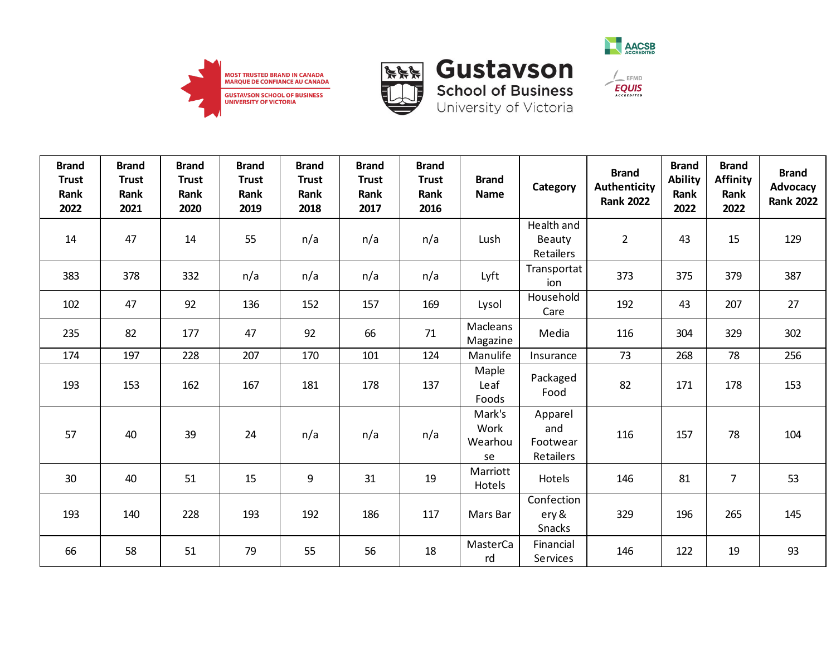





| <b>Brand</b><br><b>Trust</b><br>Rank<br>2022 | <b>Brand</b><br><b>Trust</b><br>Rank<br>2021 | <b>Brand</b><br><b>Trust</b><br>Rank<br>2020 | <b>Brand</b><br><b>Trust</b><br>Rank<br>2019 | <b>Brand</b><br><b>Trust</b><br>Rank<br>2018 | <b>Brand</b><br><b>Trust</b><br>Rank<br>2017 | <b>Brand</b><br><b>Trust</b><br>Rank<br>2016 | <b>Brand</b><br><b>Name</b>     | Category                                | <b>Brand</b><br>Authenticity<br><b>Rank 2022</b> | <b>Brand</b><br><b>Ability</b><br>Rank<br>2022 | <b>Brand</b><br><b>Affinity</b><br>Rank<br>2022 | <b>Brand</b><br>Advocacy<br><b>Rank 2022</b> |
|----------------------------------------------|----------------------------------------------|----------------------------------------------|----------------------------------------------|----------------------------------------------|----------------------------------------------|----------------------------------------------|---------------------------------|-----------------------------------------|--------------------------------------------------|------------------------------------------------|-------------------------------------------------|----------------------------------------------|
| 14                                           | 47                                           | 14                                           | 55                                           | n/a                                          | n/a                                          | n/a                                          | Lush                            | Health and<br>Beauty<br>Retailers       | $\overline{2}$                                   | 43                                             | 15                                              | 129                                          |
| 383                                          | 378                                          | 332                                          | n/a                                          | n/a                                          | n/a                                          | n/a                                          | Lyft                            | Transportat<br>ion                      | 373                                              | 375                                            | 379                                             | 387                                          |
| 102                                          | 47                                           | 92                                           | 136                                          | 152                                          | 157                                          | 169                                          | Lysol                           | Household<br>Care                       | 192                                              | 43                                             | 207                                             | 27                                           |
| 235                                          | 82                                           | 177                                          | 47                                           | 92                                           | 66                                           | 71                                           | Macleans<br>Magazine            | Media                                   | 116                                              | 304                                            | 329                                             | 302                                          |
| 174                                          | 197                                          | 228                                          | 207                                          | 170                                          | 101                                          | 124                                          | Manulife                        | Insurance                               | 73                                               | 268                                            | 78                                              | 256                                          |
| 193                                          | 153                                          | 162                                          | 167                                          | 181                                          | 178                                          | 137                                          | Maple<br>Leaf<br>Foods          | Packaged<br>Food                        | 82                                               | 171                                            | 178                                             | 153                                          |
| 57                                           | 40                                           | 39                                           | 24                                           | n/a                                          | n/a                                          | n/a                                          | Mark's<br>Work<br>Wearhou<br>se | Apparel<br>and<br>Footwear<br>Retailers | 116                                              | 157                                            | 78                                              | 104                                          |
| 30                                           | 40                                           | 51                                           | 15                                           | 9                                            | 31                                           | 19                                           | Marriott<br>Hotels              | Hotels                                  | 146                                              | 81                                             | $\overline{7}$                                  | 53                                           |
| 193                                          | 140                                          | 228                                          | 193                                          | 192                                          | 186                                          | 117                                          | Mars Bar                        | Confection<br>ery &<br>Snacks           | 329                                              | 196                                            | 265                                             | 145                                          |
| 66                                           | 58                                           | 51                                           | 79                                           | 55                                           | 56                                           | 18                                           | MasterCa<br>rd                  | Financial<br>Services                   | 146                                              | 122                                            | 19                                              | 93                                           |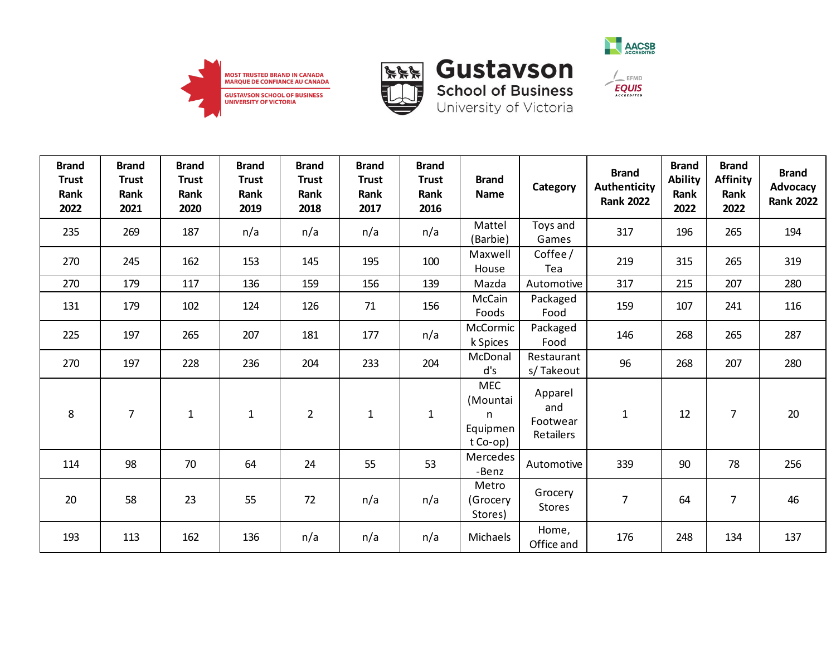





**School of Business**<br>University of Victoria

 $\frac{1}{2}$  EFMD

| <b>Brand</b><br><b>Trust</b><br>Rank<br>2022 | <b>Brand</b><br><b>Trust</b><br>Rank<br>2021 | <b>Brand</b><br><b>Trust</b><br>Rank<br>2020 | <b>Brand</b><br><b>Trust</b><br>Rank<br>2019 | <b>Brand</b><br><b>Trust</b><br>Rank<br>2018 | <b>Brand</b><br><b>Trust</b><br>Rank<br>2017 | <b>Brand</b><br><b>Trust</b><br>Rank<br>2016 | <b>Brand</b><br><b>Name</b>                         | Category                                | <b>Brand</b><br>Authenticity<br><b>Rank 2022</b> | <b>Brand</b><br><b>Ability</b><br>Rank<br>2022 | <b>Brand</b><br><b>Affinity</b><br>Rank<br>2022 | <b>Brand</b><br>Advocacy<br><b>Rank 2022</b> |
|----------------------------------------------|----------------------------------------------|----------------------------------------------|----------------------------------------------|----------------------------------------------|----------------------------------------------|----------------------------------------------|-----------------------------------------------------|-----------------------------------------|--------------------------------------------------|------------------------------------------------|-------------------------------------------------|----------------------------------------------|
| 235                                          | 269                                          | 187                                          | n/a                                          | n/a                                          | n/a                                          | n/a                                          | Mattel<br>(Barbie)                                  | Toys and<br>Games                       | 317                                              | 196                                            | 265                                             | 194                                          |
| 270                                          | 245                                          | 162                                          | 153                                          | 145                                          | 195                                          | 100                                          | Maxwell<br>House                                    | Coffee/<br>Tea                          | 219                                              | 315                                            | 265                                             | 319                                          |
| 270                                          | 179                                          | 117                                          | 136                                          | 159                                          | 156                                          | 139                                          | Mazda                                               | Automotive                              | 317                                              | 215                                            | 207                                             | 280                                          |
| 131                                          | 179                                          | 102                                          | 124                                          | 126                                          | 71                                           | 156                                          | McCain<br>Foods                                     | Packaged<br>Food                        | 159                                              | 107                                            | 241                                             | 116                                          |
| 225                                          | 197                                          | 265                                          | 207                                          | 181                                          | 177                                          | n/a                                          | McCormic<br>k Spices                                | Packaged<br>Food                        | 146                                              | 268                                            | 265                                             | 287                                          |
| 270                                          | 197                                          | 228                                          | 236                                          | 204                                          | 233                                          | 204                                          | McDonal<br>d's                                      | Restaurant<br>s/Takeout                 | 96                                               | 268                                            | 207                                             | 280                                          |
| 8                                            | $\overline{7}$                               | $1\,$                                        | $\mathbf{1}$                                 | $\overline{2}$                               | $\mathbf{1}$                                 | $\mathbf{1}$                                 | <b>MEC</b><br>(Mountai<br>n<br>Equipmen<br>t Co-op) | Apparel<br>and<br>Footwear<br>Retailers | $\mathbf{1}$                                     | 12                                             | $\overline{7}$                                  | 20                                           |
| 114                                          | 98                                           | 70                                           | 64                                           | 24                                           | 55                                           | 53                                           | Mercedes<br>-Benz                                   | Automotive                              | 339                                              | 90                                             | 78                                              | 256                                          |
| 20                                           | 58                                           | 23                                           | 55                                           | 72                                           | n/a                                          | n/a                                          | Metro<br>(Grocery<br>Stores)                        | Grocery<br><b>Stores</b>                | $\overline{7}$                                   | 64                                             | $\overline{7}$                                  | 46                                           |
| 193                                          | 113                                          | 162                                          | 136                                          | n/a                                          | n/a                                          | n/a                                          | Michaels                                            | Home,<br>Office and                     | 176                                              | 248                                            | 134                                             | 137                                          |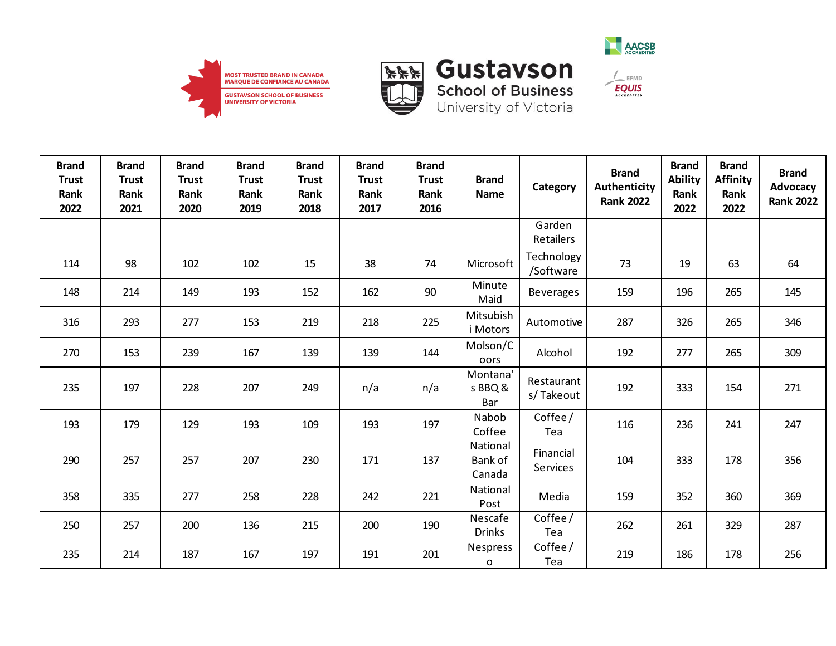





| <b>Brand</b><br><b>Trust</b><br>Rank<br>2022 | <b>Brand</b><br><b>Trust</b><br>Rank<br>2021 | <b>Brand</b><br><b>Trust</b><br>Rank<br>2020 | <b>Brand</b><br><b>Trust</b><br>Rank<br>2019 | <b>Brand</b><br><b>Trust</b><br>Rank<br>2018 | <b>Brand</b><br><b>Trust</b><br>Rank<br>2017 | <b>Brand</b><br><b>Trust</b><br>Rank<br>2016 | <b>Brand</b><br><b>Name</b>   | Category                   | <b>Brand</b><br><b>Authenticity</b><br><b>Rank 2022</b> | <b>Brand</b><br><b>Ability</b><br>Rank<br>2022 | <b>Brand</b><br><b>Affinity</b><br>Rank<br>2022 | <b>Brand</b><br>Advocacy<br><b>Rank 2022</b> |
|----------------------------------------------|----------------------------------------------|----------------------------------------------|----------------------------------------------|----------------------------------------------|----------------------------------------------|----------------------------------------------|-------------------------------|----------------------------|---------------------------------------------------------|------------------------------------------------|-------------------------------------------------|----------------------------------------------|
|                                              |                                              |                                              |                                              |                                              |                                              |                                              |                               | Garden<br><b>Retailers</b> |                                                         |                                                |                                                 |                                              |
| 114                                          | 98                                           | 102                                          | 102                                          | 15                                           | 38                                           | 74                                           | Microsoft                     | Technology<br>/Software    | 73                                                      | 19                                             | 63                                              | 64                                           |
| 148                                          | 214                                          | 149                                          | 193                                          | 152                                          | 162                                          | 90                                           | Minute<br>Maid                | <b>Beverages</b>           | 159                                                     | 196                                            | 265                                             | 145                                          |
| 316                                          | 293                                          | 277                                          | 153                                          | 219                                          | 218                                          | 225                                          | Mitsubish<br>i Motors         | Automotive                 | 287                                                     | 326                                            | 265                                             | 346                                          |
| 270                                          | 153                                          | 239                                          | 167                                          | 139                                          | 139                                          | 144                                          | Molson/C<br>oors              | Alcohol                    | 192                                                     | 277                                            | 265                                             | 309                                          |
| 235                                          | 197                                          | 228                                          | 207                                          | 249                                          | n/a                                          | n/a                                          | Montana'<br>s BBQ &<br>Bar    | Restaurant<br>s/Takeout    | 192                                                     | 333                                            | 154                                             | 271                                          |
| 193                                          | 179                                          | 129                                          | 193                                          | 109                                          | 193                                          | 197                                          | Nabob<br>Coffee               | Coffee/<br>Tea             | 116                                                     | 236                                            | 241                                             | 247                                          |
| 290                                          | 257                                          | 257                                          | 207                                          | 230                                          | 171                                          | 137                                          | National<br>Bank of<br>Canada | Financial<br>Services      | 104                                                     | 333                                            | 178                                             | 356                                          |
| 358                                          | 335                                          | 277                                          | 258                                          | 228                                          | 242                                          | 221                                          | National<br>Post              | Media                      | 159                                                     | 352                                            | 360                                             | 369                                          |
| 250                                          | 257                                          | 200                                          | 136                                          | 215                                          | 200                                          | 190                                          | Nescafe<br><b>Drinks</b>      | Coffee/<br>Tea             | 262                                                     | 261                                            | 329                                             | 287                                          |
| 235                                          | 214                                          | 187                                          | 167                                          | 197                                          | 191                                          | 201                                          | Nespress<br>$\mathbf{o}$      | Coffee/<br>Tea             | 219                                                     | 186                                            | 178                                             | 256                                          |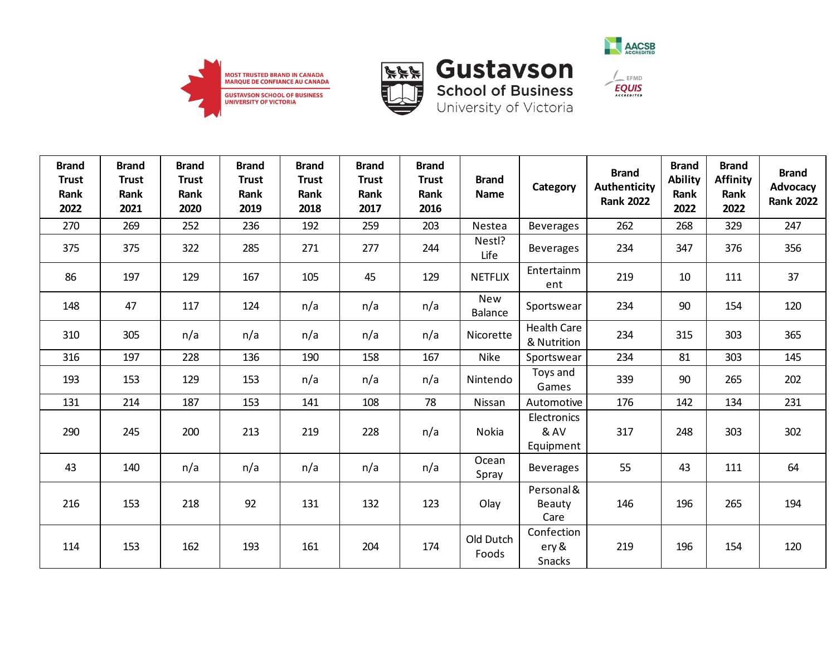







| <b>Brand</b><br><b>Trust</b><br>Rank<br>2022 | <b>Brand</b><br><b>Trust</b><br>Rank<br>2021 | <b>Brand</b><br><b>Trust</b><br>Rank<br>2020 | <b>Brand</b><br><b>Trust</b><br>Rank<br>2019 | <b>Brand</b><br><b>Trust</b><br>Rank<br>2018 | <b>Brand</b><br><b>Trust</b><br>Rank<br>2017 | <b>Brand</b><br><b>Trust</b><br>Rank<br>2016 | <b>Brand</b><br><b>Name</b> | Category                            | <b>Brand</b><br>Authenticity<br><b>Rank 2022</b> | <b>Brand</b><br><b>Ability</b><br>Rank<br>2022 | <b>Brand</b><br><b>Affinity</b><br>Rank<br>2022 | <b>Brand</b><br>Advocacy<br><b>Rank 2022</b> |
|----------------------------------------------|----------------------------------------------|----------------------------------------------|----------------------------------------------|----------------------------------------------|----------------------------------------------|----------------------------------------------|-----------------------------|-------------------------------------|--------------------------------------------------|------------------------------------------------|-------------------------------------------------|----------------------------------------------|
| 270                                          | 269                                          | 252                                          | 236                                          | 192                                          | 259                                          | 203                                          | Nestea                      | <b>Beverages</b>                    | 262                                              | 268                                            | 329                                             | 247                                          |
| 375                                          | 375                                          | 322                                          | 285                                          | 271                                          | 277                                          | 244                                          | Nestl?<br>Life              | <b>Beverages</b>                    | 234                                              | 347                                            | 376                                             | 356                                          |
| 86                                           | 197                                          | 129                                          | 167                                          | 105                                          | 45                                           | 129                                          | <b>NETFLIX</b>              | Entertainm<br>ent                   | 219                                              | 10                                             | 111                                             | 37                                           |
| 148                                          | 47                                           | 117                                          | 124                                          | n/a                                          | n/a                                          | n/a                                          | New<br><b>Balance</b>       | Sportswear                          | 234                                              | 90                                             | 154                                             | 120                                          |
| 310                                          | 305                                          | n/a                                          | n/a                                          | n/a                                          | n/a                                          | n/a                                          | Nicorette                   | <b>Health Care</b><br>& Nutrition   | 234                                              | 315                                            | 303                                             | 365                                          |
| 316                                          | 197                                          | 228                                          | 136                                          | 190                                          | 158                                          | 167                                          | <b>Nike</b>                 | Sportswear                          | 234                                              | 81                                             | 303                                             | 145                                          |
| 193                                          | 153                                          | 129                                          | 153                                          | n/a                                          | n/a                                          | n/a                                          | Nintendo                    | Toys and<br>Games                   | 339                                              | 90                                             | 265                                             | 202                                          |
| 131                                          | 214                                          | 187                                          | 153                                          | 141                                          | 108                                          | 78                                           | Nissan                      | Automotive                          | 176                                              | 142                                            | 134                                             | 231                                          |
| 290                                          | 245                                          | 200                                          | 213                                          | 219                                          | 228                                          | n/a                                          | Nokia                       | Electronics<br>& AV<br>Equipment    | 317                                              | 248                                            | 303                                             | 302                                          |
| 43                                           | 140                                          | n/a                                          | n/a                                          | n/a                                          | n/a                                          | n/a                                          | Ocean<br>Spray              | Beverages                           | 55                                               | 43                                             | 111                                             | 64                                           |
| 216                                          | 153                                          | 218                                          | 92                                           | 131                                          | 132                                          | 123                                          | Olay                        | Personal &<br><b>Beauty</b><br>Care | 146                                              | 196                                            | 265                                             | 194                                          |
| 114                                          | 153                                          | 162                                          | 193                                          | 161                                          | 204                                          | 174                                          | Old Dutch<br>Foods          | Confection<br>ery &<br>Snacks       | 219                                              | 196                                            | 154                                             | 120                                          |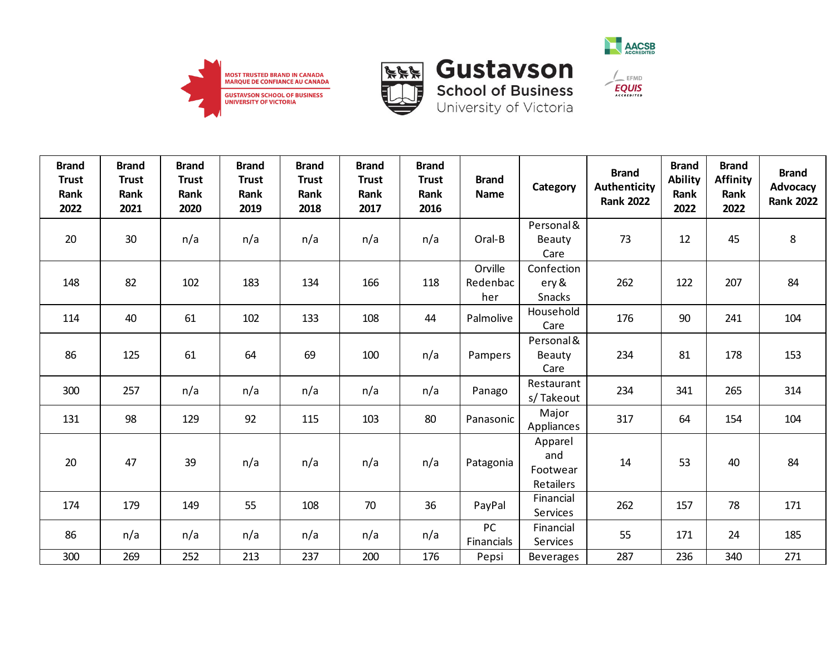





| <b>Brand</b><br><b>Trust</b><br>Rank<br>2022 | <b>Brand</b><br><b>Trust</b><br>Rank<br>2021 | <b>Brand</b><br><b>Trust</b><br>Rank<br>2020 | <b>Brand</b><br><b>Trust</b><br>Rank<br>2019 | <b>Brand</b><br><b>Trust</b><br>Rank<br>2018 | <b>Brand</b><br><b>Trust</b><br>Rank<br>2017 | <b>Brand</b><br><b>Trust</b><br>Rank<br>2016 | <b>Brand</b><br><b>Name</b> | Category                                       | <b>Brand</b><br>Authenticity<br><b>Rank 2022</b> | <b>Brand</b><br><b>Ability</b><br>Rank<br>2022 | <b>Brand</b><br><b>Affinity</b><br>Rank<br>2022 | <b>Brand</b><br>Advocacy<br><b>Rank 2022</b> |
|----------------------------------------------|----------------------------------------------|----------------------------------------------|----------------------------------------------|----------------------------------------------|----------------------------------------------|----------------------------------------------|-----------------------------|------------------------------------------------|--------------------------------------------------|------------------------------------------------|-------------------------------------------------|----------------------------------------------|
| 20                                           | 30                                           | n/a                                          | n/a                                          | n/a                                          | n/a                                          | n/a                                          | Oral-B                      | Personal &<br><b>Beauty</b><br>Care            | 73                                               | 12                                             | 45                                              | $\,8\,$                                      |
| 148                                          | 82                                           | 102                                          | 183                                          | 134                                          | 166                                          | 118                                          | Orville<br>Redenbac<br>her  | Confection<br>ery &<br><b>Snacks</b>           | 262                                              | 122                                            | 207                                             | 84                                           |
| 114                                          | 40                                           | 61                                           | 102                                          | 133                                          | 108                                          | 44                                           | Palmolive                   | Household<br>Care                              | 176                                              | 90                                             | 241                                             | 104                                          |
| 86                                           | 125                                          | 61                                           | 64                                           | 69                                           | 100                                          | n/a                                          | Pampers                     | Personal &<br>Beauty<br>Care                   | 234                                              | 81                                             | 178                                             | 153                                          |
| 300                                          | 257                                          | n/a                                          | n/a                                          | n/a                                          | n/a                                          | n/a                                          | Panago                      | Restaurant<br>s/Takeout                        | 234                                              | 341                                            | 265                                             | 314                                          |
| 131                                          | 98                                           | 129                                          | 92                                           | 115                                          | 103                                          | 80                                           | Panasonic                   | Major<br>Appliances                            | 317                                              | 64                                             | 154                                             | 104                                          |
| 20                                           | 47                                           | 39                                           | n/a                                          | n/a                                          | n/a                                          | n/a                                          | Patagonia                   | Apparel<br>and<br>Footwear<br><b>Retailers</b> | 14                                               | 53                                             | 40                                              | 84                                           |
| 174                                          | 179                                          | 149                                          | 55                                           | 108                                          | 70                                           | 36                                           | PayPal                      | Financial<br>Services                          | 262                                              | 157                                            | 78                                              | 171                                          |
| 86                                           | n/a                                          | n/a                                          | n/a                                          | n/a                                          | n/a                                          | n/a                                          | PC<br>Financials            | Financial<br>Services                          | 55                                               | 171                                            | 24                                              | 185                                          |
| 300                                          | 269                                          | 252                                          | 213                                          | 237                                          | 200                                          | 176                                          | Pepsi                       | <b>Beverages</b>                               | 287                                              | 236                                            | 340                                             | 271                                          |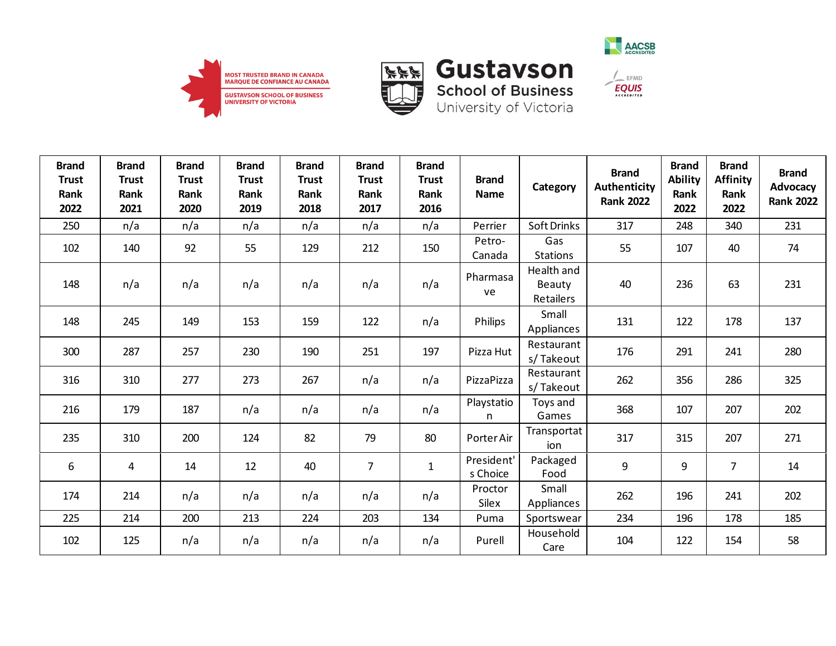







| <b>Brand</b><br><b>Trust</b><br>Rank<br>2022 | <b>Brand</b><br><b>Trust</b><br>Rank<br>2021 | <b>Brand</b><br><b>Trust</b><br>Rank<br>2020 | <b>Brand</b><br><b>Trust</b><br>Rank<br>2019 | <b>Brand</b><br><b>Trust</b><br>Rank<br>2018 | <b>Brand</b><br><b>Trust</b><br>Rank<br>2017 | <b>Brand</b><br><b>Trust</b><br>Rank<br>2016 | <b>Brand</b><br><b>Name</b> | Category                                        | <b>Brand</b><br><b>Authenticity</b><br><b>Rank 2022</b> | <b>Brand</b><br><b>Ability</b><br>Rank<br>2022 | <b>Brand</b><br><b>Affinity</b><br>Rank<br>2022 | <b>Brand</b><br>Advocacy<br><b>Rank 2022</b> |
|----------------------------------------------|----------------------------------------------|----------------------------------------------|----------------------------------------------|----------------------------------------------|----------------------------------------------|----------------------------------------------|-----------------------------|-------------------------------------------------|---------------------------------------------------------|------------------------------------------------|-------------------------------------------------|----------------------------------------------|
| 250                                          | n/a                                          | n/a                                          | n/a                                          | n/a                                          | n/a                                          | n/a                                          | Perrier                     | Soft Drinks                                     | 317                                                     | 248                                            | 340                                             | 231                                          |
| 102                                          | 140                                          | 92                                           | 55                                           | 129                                          | 212                                          | 150                                          | Petro-<br>Canada            | Gas<br><b>Stations</b>                          | 55                                                      | 107                                            | 40                                              | 74                                           |
| 148                                          | n/a                                          | n/a                                          | n/a                                          | n/a                                          | n/a                                          | n/a                                          | Pharmasa<br>ve              | Health and<br><b>Beauty</b><br><b>Retailers</b> | 40                                                      | 236                                            | 63                                              | 231                                          |
| 148                                          | 245                                          | 149                                          | 153                                          | 159                                          | 122                                          | n/a                                          | Philips                     | Small<br>Appliances                             | 131                                                     | 122                                            | 178                                             | 137                                          |
| 300                                          | 287                                          | 257                                          | 230                                          | 190                                          | 251                                          | 197                                          | Pizza Hut                   | Restaurant<br>s/Takeout                         | 176                                                     | 291                                            | 241                                             | 280                                          |
| 316                                          | 310                                          | 277                                          | 273                                          | 267                                          | n/a                                          | n/a                                          | PizzaPizza                  | Restaurant<br>s/Takeout                         | 262                                                     | 356                                            | 286                                             | 325                                          |
| 216                                          | 179                                          | 187                                          | n/a                                          | n/a                                          | n/a                                          | n/a                                          | Playstatio<br>n             | Toys and<br>Games                               | 368                                                     | 107                                            | 207                                             | 202                                          |
| 235                                          | 310                                          | 200                                          | 124                                          | 82                                           | 79                                           | 80                                           | Porter Air                  | Transportat<br>ion                              | 317                                                     | 315                                            | 207                                             | 271                                          |
| 6                                            | 4                                            | 14                                           | 12                                           | 40                                           | $\overline{7}$                               | $\mathbf{1}$                                 | President'<br>s Choice      | Packaged<br>Food                                | 9                                                       | 9                                              | $\overline{7}$                                  | 14                                           |
| 174                                          | 214                                          | n/a                                          | n/a                                          | n/a                                          | n/a                                          | n/a                                          | Proctor<br>Silex            | Small<br>Appliances                             | 262                                                     | 196                                            | 241                                             | 202                                          |
| 225                                          | 214                                          | 200                                          | 213                                          | 224                                          | 203                                          | 134                                          | Puma                        | Sportswear                                      | 234                                                     | 196                                            | 178                                             | 185                                          |
| 102                                          | 125                                          | n/a                                          | n/a                                          | n/a                                          | n/a                                          | n/a                                          | Purell                      | Household<br>Care                               | 104                                                     | 122                                            | 154                                             | 58                                           |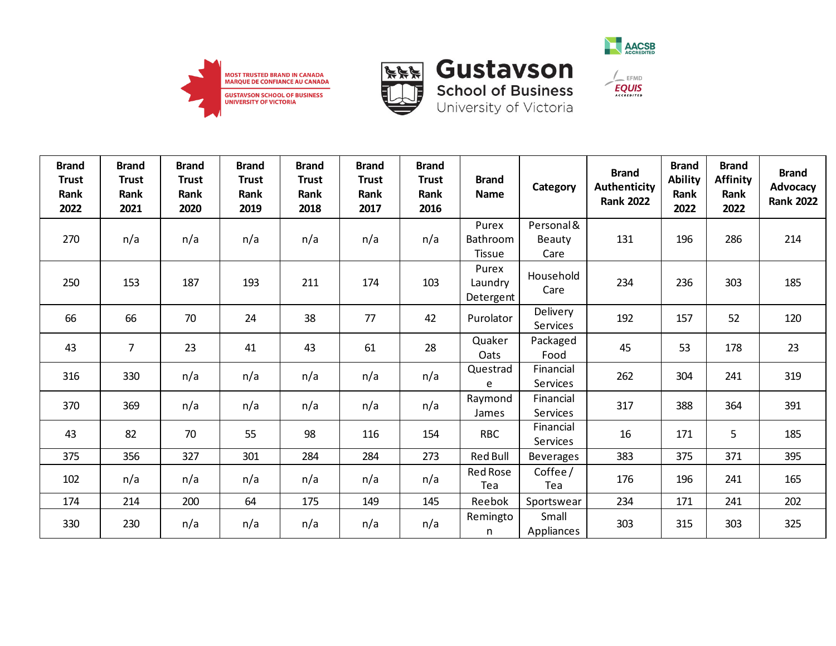





**School of Business** 

University of Victoria

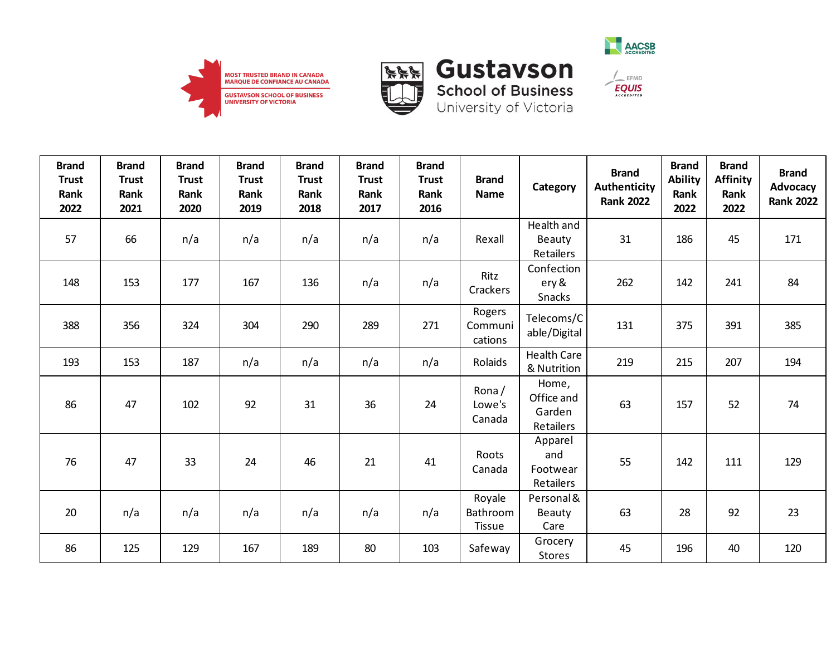







| <b>Brand</b><br><b>Trust</b><br>Rank<br>2022 | <b>Brand</b><br><b>Trust</b><br>Rank<br>2021 | <b>Brand</b><br><b>Trust</b><br>Rank<br>2020 | <b>Brand</b><br><b>Trust</b><br>Rank<br>2019 | <b>Brand</b><br><b>Trust</b><br>Rank<br>2018 | <b>Brand</b><br><b>Trust</b><br>Rank<br>2017 | <b>Brand</b><br><b>Trust</b><br>Rank<br>2016 | <b>Brand</b><br><b>Name</b>         | Category                                   | <b>Brand</b><br><b>Authenticity</b><br><b>Rank 2022</b> | <b>Brand</b><br><b>Ability</b><br>Rank<br>2022 | <b>Brand</b><br><b>Affinity</b><br>Rank<br>2022 | <b>Brand</b><br>Advocacy<br><b>Rank 2022</b> |
|----------------------------------------------|----------------------------------------------|----------------------------------------------|----------------------------------------------|----------------------------------------------|----------------------------------------------|----------------------------------------------|-------------------------------------|--------------------------------------------|---------------------------------------------------------|------------------------------------------------|-------------------------------------------------|----------------------------------------------|
| 57                                           | 66                                           | n/a                                          | n/a                                          | n/a                                          | n/a                                          | n/a                                          | Rexall                              | Health and<br>Beauty<br>Retailers          | 31                                                      | 186                                            | 45                                              | 171                                          |
| 148                                          | 153                                          | 177                                          | 167                                          | 136                                          | n/a                                          | n/a                                          | Ritz<br>Crackers                    | Confection<br>ery &<br>Snacks              | 262                                                     | 142                                            | 241                                             | 84                                           |
| 388                                          | 356                                          | 324                                          | 304                                          | 290                                          | 289                                          | 271                                          | Rogers<br>Communi<br>cations        | Telecoms/C<br>able/Digital                 | 131                                                     | 375                                            | 391                                             | 385                                          |
| 193                                          | 153                                          | 187                                          | n/a                                          | n/a                                          | n/a                                          | n/a                                          | Rolaids                             | <b>Health Care</b><br>& Nutrition          | 219                                                     | 215                                            | 207                                             | 194                                          |
| 86                                           | 47                                           | 102                                          | 92                                           | 31                                           | 36                                           | 24                                           | Rona/<br>Lowe's<br>Canada           | Home,<br>Office and<br>Garden<br>Retailers | 63                                                      | 157                                            | 52                                              | 74                                           |
| 76                                           | 47                                           | 33                                           | 24                                           | 46                                           | 21                                           | 41                                           | Roots<br>Canada                     | Apparel<br>and<br>Footwear<br>Retailers    | 55                                                      | 142                                            | 111                                             | 129                                          |
| 20                                           | n/a                                          | n/a                                          | n/a                                          | n/a                                          | n/a                                          | n/a                                          | Royale<br>Bathroom<br><b>Tissue</b> | Personal &<br>Beauty<br>Care               | 63                                                      | 28                                             | 92                                              | 23                                           |
| 86                                           | 125                                          | 129                                          | 167                                          | 189                                          | 80                                           | 103                                          | Safeway                             | Grocery<br><b>Stores</b>                   | 45                                                      | 196                                            | 40                                              | 120                                          |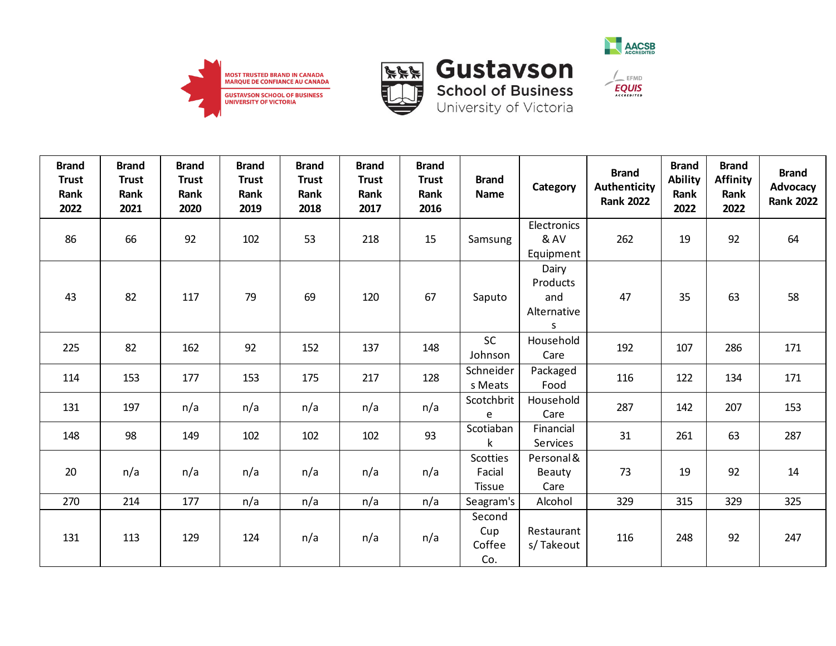





| <b>Brand</b><br><b>Trust</b><br>Rank<br>2022 | <b>Brand</b><br><b>Trust</b><br>Rank<br>2021 | <b>Brand</b><br><b>Trust</b><br>Rank<br>2020 | <b>Brand</b><br><b>Trust</b><br>Rank<br>2019 | <b>Brand</b><br><b>Trust</b><br>Rank<br>2018 | <b>Brand</b><br><b>Trust</b><br>Rank<br>2017 | <b>Brand</b><br><b>Trust</b><br>Rank<br>2016 | <b>Brand</b><br><b>Name</b>                | Category                                      | <b>Brand</b><br>Authenticity<br><b>Rank 2022</b> | <b>Brand</b><br><b>Ability</b><br>Rank<br>2022 | <b>Brand</b><br><b>Affinity</b><br>Rank<br>2022 | <b>Brand</b><br><b>Advocacy</b><br><b>Rank 2022</b> |
|----------------------------------------------|----------------------------------------------|----------------------------------------------|----------------------------------------------|----------------------------------------------|----------------------------------------------|----------------------------------------------|--------------------------------------------|-----------------------------------------------|--------------------------------------------------|------------------------------------------------|-------------------------------------------------|-----------------------------------------------------|
| 86                                           | 66                                           | 92                                           | 102                                          | 53                                           | 218                                          | 15                                           | Samsung                                    | Electronics<br>& AV<br>Equipment              | 262                                              | 19                                             | 92                                              | 64                                                  |
| 43                                           | 82                                           | 117                                          | 79                                           | 69                                           | 120                                          | 67                                           | Saputo                                     | Dairy<br>Products<br>and<br>Alternative<br>S. | 47                                               | 35                                             | 63                                              | 58                                                  |
| 225                                          | 82                                           | 162                                          | 92                                           | 152                                          | 137                                          | 148                                          | <b>SC</b><br>Johnson                       | Household<br>Care                             | 192                                              | 107                                            | 286                                             | 171                                                 |
| 114                                          | 153                                          | 177                                          | 153                                          | 175                                          | 217                                          | 128                                          | Schneider<br>s Meats                       | Packaged<br>Food                              | 116                                              | 122                                            | 134                                             | 171                                                 |
| 131                                          | 197                                          | n/a                                          | n/a                                          | n/a                                          | n/a                                          | n/a                                          | Scotchbrit<br>e                            | Household<br>Care                             | 287                                              | 142                                            | 207                                             | 153                                                 |
| 148                                          | 98                                           | 149                                          | 102                                          | 102                                          | 102                                          | 93                                           | Scotiaban<br>k                             | Financial<br>Services                         | 31                                               | 261                                            | 63                                              | 287                                                 |
| 20                                           | n/a                                          | n/a                                          | n/a                                          | n/a                                          | n/a                                          | n/a                                          | <b>Scotties</b><br>Facial<br><b>Tissue</b> | Personal &<br>Beauty<br>Care                  | 73                                               | 19                                             | 92                                              | 14                                                  |
| 270                                          | 214                                          | 177                                          | n/a                                          | n/a                                          | n/a                                          | n/a                                          | Seagram's                                  | Alcohol                                       | 329                                              | 315                                            | 329                                             | 325                                                 |
| 131                                          | 113                                          | 129                                          | 124                                          | n/a                                          | n/a                                          | n/a                                          | Second<br>Cup<br>Coffee<br>Co.             | Restaurant<br>s/Takeout                       | 116                                              | 248                                            | 92                                              | 247                                                 |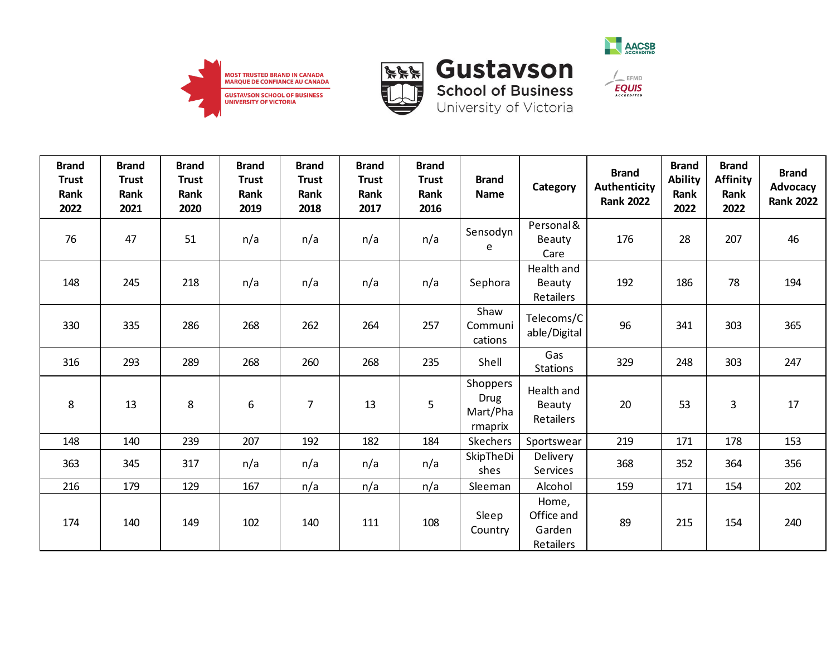





| <b>Brand</b><br><b>Trust</b><br>Rank<br>2022 | <b>Brand</b><br><b>Trust</b><br>Rank<br>2021 | <b>Brand</b><br><b>Trust</b><br>Rank<br>2020 | <b>Brand</b><br><b>Trust</b><br>Rank<br>2019 | <b>Brand</b><br><b>Trust</b><br>Rank<br>2018 | <b>Brand</b><br><b>Trust</b><br>Rank<br>2017 | <b>Brand</b><br><b>Trust</b><br>Rank<br>2016 | <b>Brand</b><br>Name                           | Category                                   | <b>Brand</b><br><b>Authenticity</b><br><b>Rank 2022</b> | <b>Brand</b><br><b>Ability</b><br>Rank<br>2022 | <b>Brand</b><br><b>Affinity</b><br>Rank<br>2022 | <b>Brand</b><br>Advocacy<br><b>Rank 2022</b> |
|----------------------------------------------|----------------------------------------------|----------------------------------------------|----------------------------------------------|----------------------------------------------|----------------------------------------------|----------------------------------------------|------------------------------------------------|--------------------------------------------|---------------------------------------------------------|------------------------------------------------|-------------------------------------------------|----------------------------------------------|
| 76                                           | 47                                           | 51                                           | n/a                                          | n/a                                          | n/a                                          | n/a                                          | Sensodyn<br>e                                  | Personal &<br>Beauty<br>Care               | 176                                                     | 28                                             | 207                                             | 46                                           |
| 148                                          | 245                                          | 218                                          | n/a                                          | n/a                                          | n/a                                          | n/a                                          | Sephora                                        | Health and<br>Beauty<br>Retailers          | 192                                                     | 186                                            | 78                                              | 194                                          |
| 330                                          | 335                                          | 286                                          | 268                                          | 262                                          | 264                                          | 257                                          | Shaw<br>Communi<br>cations                     | Telecoms/C<br>able/Digital                 | 96                                                      | 341                                            | 303                                             | 365                                          |
| 316                                          | 293                                          | 289                                          | 268                                          | 260                                          | 268                                          | 235                                          | Shell                                          | Gas<br><b>Stations</b>                     | 329                                                     | 248                                            | 303                                             | 247                                          |
| 8                                            | 13                                           | 8                                            | 6                                            | 7                                            | 13                                           | 5                                            | Shoppers<br><b>Drug</b><br>Mart/Pha<br>rmaprix | Health and<br>Beauty<br>Retailers          | 20                                                      | 53                                             | 3                                               | 17                                           |
| 148                                          | 140                                          | 239                                          | 207                                          | 192                                          | 182                                          | 184                                          | Skechers                                       | Sportswear                                 | 219                                                     | 171                                            | 178                                             | 153                                          |
| 363                                          | 345                                          | 317                                          | n/a                                          | n/a                                          | n/a                                          | n/a                                          | SkipTheDi<br>shes                              | Delivery<br>Services                       | 368                                                     | 352                                            | 364                                             | 356                                          |
| 216                                          | 179                                          | 129                                          | 167                                          | n/a                                          | n/a                                          | n/a                                          | Sleeman                                        | Alcohol                                    | 159                                                     | 171                                            | 154                                             | 202                                          |
| 174                                          | 140                                          | 149                                          | 102                                          | 140                                          | 111                                          | 108                                          | Sleep<br>Country                               | Home,<br>Office and<br>Garden<br>Retailers | 89                                                      | 215                                            | 154                                             | 240                                          |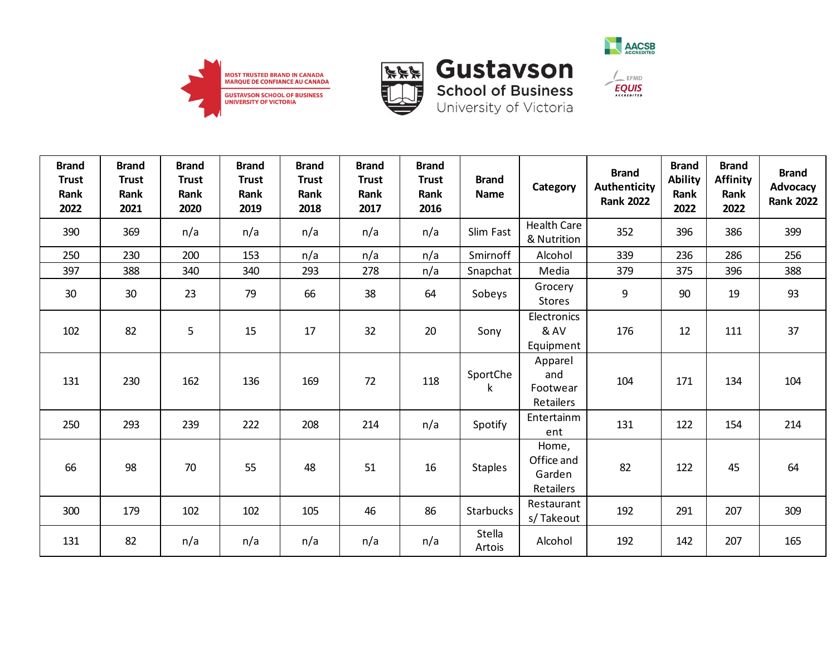







| <b>Brand</b><br><b>Trust</b><br>Rank<br>2022 | <b>Brand</b><br><b>Trust</b><br>Rank<br>2021 | <b>Brand</b><br><b>Trust</b><br>Rank<br>2020 | <b>Brand</b><br><b>Trust</b><br>Rank<br>2019 | <b>Brand</b><br><b>Trust</b><br>Rank<br>2018 | <b>Brand</b><br><b>Trust</b><br>Rank<br>2017 | <b>Brand</b><br><b>Trust</b><br>Rank<br>2016 | <b>Brand</b><br><b>Name</b> | Category                                   | <b>Brand</b><br>Authenticity<br><b>Rank 2022</b> | <b>Brand</b><br><b>Ability</b><br>Rank<br>2022 | <b>Brand</b><br><b>Affinity</b><br>Rank<br>2022 | <b>Brand</b><br><b>Advocacy</b><br><b>Rank 2022</b> |
|----------------------------------------------|----------------------------------------------|----------------------------------------------|----------------------------------------------|----------------------------------------------|----------------------------------------------|----------------------------------------------|-----------------------------|--------------------------------------------|--------------------------------------------------|------------------------------------------------|-------------------------------------------------|-----------------------------------------------------|
| 390                                          | 369                                          | n/a                                          | n/a                                          | n/a                                          | n/a                                          | n/a                                          | Slim Fast                   | <b>Health Care</b><br>& Nutrition          | 352                                              | 396                                            | 386                                             | 399                                                 |
| 250                                          | 230                                          | 200                                          | 153                                          | n/a                                          | n/a                                          | n/a                                          | Smirnoff                    | Alcohol                                    | 339                                              | 236                                            | 286                                             | 256                                                 |
| 397                                          | 388                                          | 340                                          | 340                                          | 293                                          | 278                                          | n/a                                          | Snapchat                    | Media                                      | 379                                              | 375                                            | 396                                             | 388                                                 |
| 30                                           | 30                                           | 23                                           | 79                                           | 66                                           | 38                                           | 64                                           | Sobeys                      | Grocery<br><b>Stores</b>                   | 9                                                | 90                                             | 19                                              | 93                                                  |
| 102                                          | 82                                           | 5                                            | 15                                           | 17                                           | 32                                           | 20                                           | Sony                        | Electronics<br>& AV<br>Equipment           | 176                                              | 12                                             | 111                                             | 37                                                  |
| 131                                          | 230                                          | 162                                          | 136                                          | 169                                          | 72                                           | 118                                          | SportChe<br>k               | Apparel<br>and<br>Footwear<br>Retailers    | 104                                              | 171                                            | 134                                             | 104                                                 |
| 250                                          | 293                                          | 239                                          | 222                                          | 208                                          | 214                                          | n/a                                          | Spotify                     | Entertainm<br>ent                          | 131                                              | 122                                            | 154                                             | 214                                                 |
| 66                                           | 98                                           | 70                                           | 55                                           | 48                                           | 51                                           | 16                                           | <b>Staples</b>              | Home,<br>Office and<br>Garden<br>Retailers | 82                                               | 122                                            | 45                                              | 64                                                  |
| 300                                          | 179                                          | 102                                          | 102                                          | 105                                          | 46                                           | 86                                           | Starbucks                   | Restaurant<br>s/Takeout                    | 192                                              | 291                                            | 207                                             | 309                                                 |
| 131                                          | 82                                           | n/a                                          | n/a                                          | n/a                                          | n/a                                          | n/a                                          | Stella<br>Artois            | Alcohol                                    | 192                                              | 142                                            | 207                                             | 165                                                 |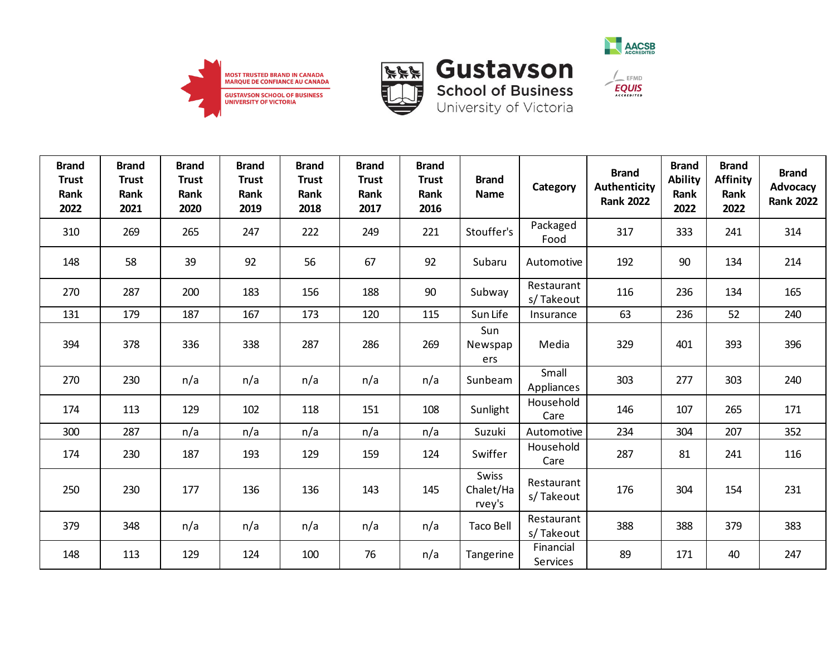



**School of Business**<br>University of Victoria



 $\frac{1}{2}$  EFMD

| <b>Brand</b><br><b>Trust</b><br>Rank<br>2022 | <b>Brand</b><br><b>Trust</b><br>Rank<br>2021 | <b>Brand</b><br><b>Trust</b><br>Rank<br>2020 | <b>Brand</b><br><b>Trust</b><br>Rank<br>2019 | <b>Brand</b><br><b>Trust</b><br>Rank<br>2018 | <b>Brand</b><br><b>Trust</b><br>Rank<br>2017 | <b>Brand</b><br><b>Trust</b><br>Rank<br>2016 | <b>Brand</b><br><b>Name</b>  | Category                | <b>Brand</b><br><b>Authenticity</b><br><b>Rank 2022</b> | <b>Brand</b><br><b>Ability</b><br>Rank<br>2022 | <b>Brand</b><br><b>Affinity</b><br>Rank<br>2022 | <b>Brand</b><br><b>Advocacy</b><br><b>Rank 2022</b> |
|----------------------------------------------|----------------------------------------------|----------------------------------------------|----------------------------------------------|----------------------------------------------|----------------------------------------------|----------------------------------------------|------------------------------|-------------------------|---------------------------------------------------------|------------------------------------------------|-------------------------------------------------|-----------------------------------------------------|
| 310                                          | 269                                          | 265                                          | 247                                          | 222                                          | 249                                          | 221                                          | Stouffer's                   | Packaged<br>Food        | 317                                                     | 333                                            | 241                                             | 314                                                 |
| 148                                          | 58                                           | 39                                           | 92                                           | 56                                           | 67                                           | 92                                           | Subaru                       | Automotive              | 192                                                     | 90                                             | 134                                             | 214                                                 |
| 270                                          | 287                                          | 200                                          | 183                                          | 156                                          | 188                                          | 90                                           | Subway                       | Restaurant<br>s/Takeout | 116                                                     | 236                                            | 134                                             | 165                                                 |
| 131                                          | 179                                          | 187                                          | 167                                          | 173                                          | 120                                          | 115                                          | Sun Life                     | Insurance               | 63                                                      | 236                                            | 52                                              | 240                                                 |
| 394                                          | 378                                          | 336                                          | 338                                          | 287                                          | 286                                          | 269                                          | Sun<br>Newspap<br>ers        | Media                   | 329                                                     | 401                                            | 393                                             | 396                                                 |
| 270                                          | 230                                          | n/a                                          | n/a                                          | n/a                                          | n/a                                          | n/a                                          | Sunbeam                      | Small<br>Appliances     | 303                                                     | 277                                            | 303                                             | 240                                                 |
| 174                                          | 113                                          | 129                                          | 102                                          | 118                                          | 151                                          | 108                                          | Sunlight                     | Household<br>Care       | 146                                                     | 107                                            | 265                                             | 171                                                 |
| 300                                          | 287                                          | n/a                                          | n/a                                          | n/a                                          | n/a                                          | n/a                                          | Suzuki                       | Automotive              | 234                                                     | 304                                            | 207                                             | 352                                                 |
| 174                                          | 230                                          | 187                                          | 193                                          | 129                                          | 159                                          | 124                                          | Swiffer                      | Household<br>Care       | 287                                                     | 81                                             | 241                                             | 116                                                 |
| 250                                          | 230                                          | 177                                          | 136                                          | 136                                          | 143                                          | 145                                          | Swiss<br>Chalet/Ha<br>rvey's | Restaurant<br>s/Takeout | 176                                                     | 304                                            | 154                                             | 231                                                 |
| 379                                          | 348                                          | n/a                                          | n/a                                          | n/a                                          | n/a                                          | n/a                                          | <b>Taco Bell</b>             | Restaurant<br>s/Takeout | 388                                                     | 388                                            | 379                                             | 383                                                 |
| 148                                          | 113                                          | 129                                          | 124                                          | 100                                          | 76                                           | n/a                                          | Tangerine                    | Financial<br>Services   | 89                                                      | 171                                            | 40                                              | 247                                                 |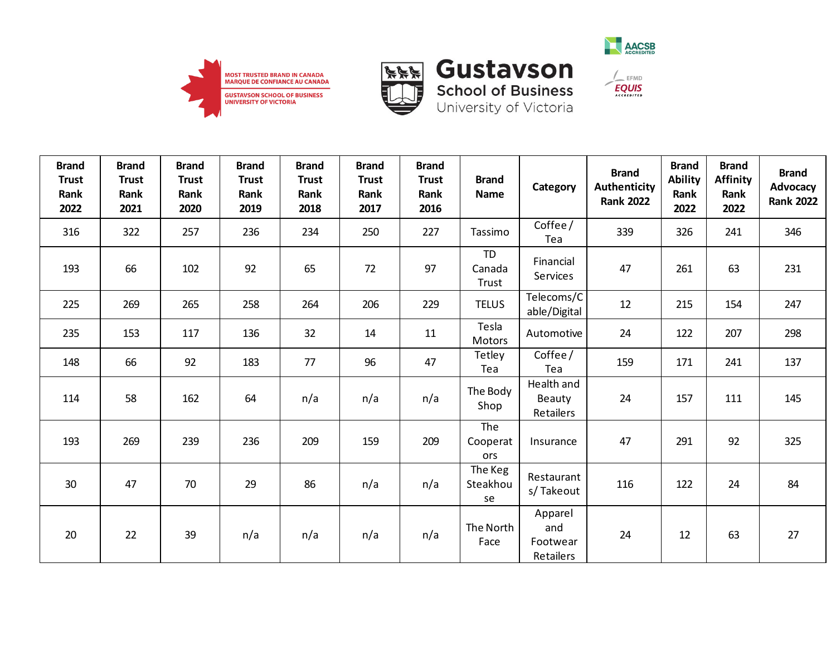



**School of Business**<br>University of Victoria



 $\frac{1}{2}$  EFMD

**EQUIS** 

| <b>Brand</b><br><b>Trust</b><br>Rank<br>2022 | <b>Brand</b><br><b>Trust</b><br>Rank<br>2021 | <b>Brand</b><br><b>Trust</b><br>Rank<br>2020 | <b>Brand</b><br><b>Trust</b><br>Rank<br>2019 | <b>Brand</b><br><b>Trust</b><br>Rank<br>2018 | <b>Brand</b><br><b>Trust</b><br>Rank<br>2017 | <b>Brand</b><br><b>Trust</b><br>Rank<br>2016 | <b>Brand</b><br><b>Name</b>  | Category                          | <b>Brand</b><br><b>Authenticity</b><br><b>Rank 2022</b> | <b>Brand</b><br><b>Ability</b><br>Rank<br>2022 | <b>Brand</b><br><b>Affinity</b><br>Rank<br>2022 | <b>Brand</b><br>Advocacy<br><b>Rank 2022</b> |
|----------------------------------------------|----------------------------------------------|----------------------------------------------|----------------------------------------------|----------------------------------------------|----------------------------------------------|----------------------------------------------|------------------------------|-----------------------------------|---------------------------------------------------------|------------------------------------------------|-------------------------------------------------|----------------------------------------------|
| 316                                          | 322                                          | 257                                          | 236                                          | 234                                          | 250                                          | 227                                          | Tassimo                      | Coffee/<br>Tea                    | 339                                                     | 326                                            | 241                                             | 346                                          |
| 193                                          | 66                                           | 102                                          | 92                                           | 65                                           | 72                                           | 97                                           | <b>TD</b><br>Canada<br>Trust | Financial<br>Services             | 47                                                      | 261                                            | 63                                              | 231                                          |
| 225                                          | 269                                          | 265                                          | 258                                          | 264                                          | 206                                          | 229                                          | <b>TELUS</b>                 | Telecoms/C<br>able/Digital        | 12                                                      | 215                                            | 154                                             | 247                                          |
| 235                                          | 153                                          | 117                                          | 136                                          | 32                                           | 14                                           | 11                                           | Tesla<br>Motors              | Automotive                        | 24                                                      | 122                                            | 207                                             | 298                                          |
| 148                                          | 66                                           | 92                                           | 183                                          | 77                                           | 96                                           | 47                                           | Tetley<br>Tea                | Coffee/<br>Tea                    | 159                                                     | 171                                            | 241                                             | 137                                          |
| 114                                          | 58                                           | 162                                          | 64                                           | n/a                                          | n/a                                          | n/a                                          | The Body<br>Shop             | Health and<br>Beauty<br>Retailers | 24                                                      | 157                                            | 111                                             | 145                                          |
| 193                                          | 269                                          | 239                                          | 236                                          | 209                                          | 159                                          | 209                                          | The<br>Cooperat<br>ors       | Insurance                         | 47                                                      | 291                                            | 92                                              | 325                                          |
| 30                                           | 47                                           | 70                                           | 29                                           | 86                                           | n/a                                          | n/a                                          | The Keg<br>Steakhou<br>se    | Restaurant<br>s/Takeout           | 116                                                     | 122                                            | 24                                              | 84                                           |
| 20                                           | 22                                           | 39                                           | n/a                                          | n/a                                          | n/a                                          | n/a                                          | The North<br>Face            | Apparel<br>and<br>Footwear        | 24                                                      | 12                                             | 63                                              | 27                                           |

Retailers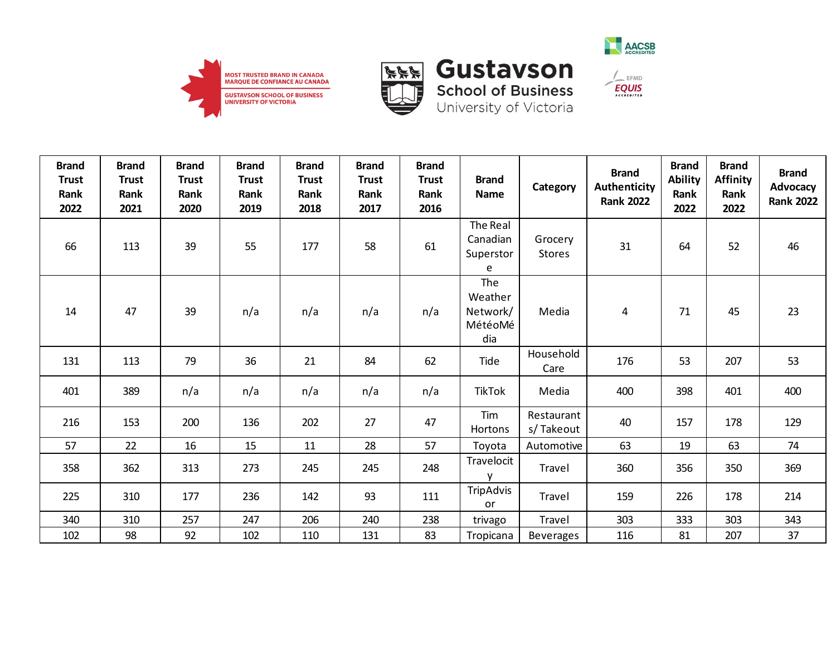







 $\frac{1}{2}$  EFMD

| <b>Brand</b><br><b>Trust</b><br>Rank<br>2022 | <b>Brand</b><br><b>Trust</b><br>Rank<br>2021 | <b>Brand</b><br><b>Trust</b><br>Rank<br>2020 | <b>Brand</b><br><b>Trust</b><br>Rank<br>2019 | <b>Brand</b><br><b>Trust</b><br>Rank<br>2018 | <b>Brand</b><br><b>Trust</b><br>Rank<br>2017 | <b>Brand</b><br><b>Trust</b><br>Rank<br>2016 | <b>Brand</b><br>Name                         | Category                 | <b>Brand</b><br>Authenticity<br><b>Rank 2022</b> | <b>Brand</b><br><b>Ability</b><br>Rank<br>2022 | <b>Brand</b><br><b>Affinity</b><br>Rank<br>2022 | <b>Brand</b><br>Advocacy<br><b>Rank 2022</b> |
|----------------------------------------------|----------------------------------------------|----------------------------------------------|----------------------------------------------|----------------------------------------------|----------------------------------------------|----------------------------------------------|----------------------------------------------|--------------------------|--------------------------------------------------|------------------------------------------------|-------------------------------------------------|----------------------------------------------|
| 66                                           | 113                                          | 39                                           | 55                                           | 177                                          | 58                                           | 61                                           | The Real<br>Canadian<br>Superstor<br>e       | Grocery<br><b>Stores</b> | 31                                               | 64                                             | 52                                              | 46                                           |
| 14                                           | 47                                           | 39                                           | n/a                                          | n/a                                          | n/a                                          | n/a                                          | The<br>Weather<br>Network/<br>MétéoMé<br>dia | Media                    | 4                                                | 71                                             | 45                                              | 23                                           |
| 131                                          | 113                                          | 79                                           | 36                                           | 21                                           | 84                                           | 62                                           | Tide                                         | Household<br>Care        | 176                                              | 53                                             | 207                                             | 53                                           |
| 401                                          | 389                                          | n/a                                          | n/a                                          | n/a                                          | n/a                                          | n/a                                          | <b>TikTok</b>                                | Media                    | 400                                              | 398                                            | 401                                             | 400                                          |
| 216                                          | 153                                          | 200                                          | 136                                          | 202                                          | 27                                           | 47                                           | Tim<br>Hortons                               | Restaurant<br>s/Takeout  | 40                                               | 157                                            | 178                                             | 129                                          |
| 57                                           | 22                                           | 16                                           | 15                                           | 11                                           | 28                                           | 57                                           | Toyota                                       | Automotive               | 63                                               | 19                                             | 63                                              | 74                                           |
| 358                                          | 362                                          | 313                                          | 273                                          | 245                                          | 245                                          | 248                                          | Travelocit<br>$\mathsf{V}$                   | Travel                   | 360                                              | 356                                            | 350                                             | 369                                          |
| 225                                          | 310                                          | 177                                          | 236                                          | 142                                          | 93                                           | 111                                          | TripAdvis<br><b>or</b>                       | Travel                   | 159                                              | 226                                            | 178                                             | 214                                          |
| 340                                          | 310                                          | 257                                          | 247                                          | 206                                          | 240                                          | 238                                          | trivago                                      | Travel                   | 303                                              | 333                                            | 303                                             | 343                                          |
| 102                                          | 98                                           | 92                                           | 102                                          | 110                                          | 131                                          | 83                                           | Tropicana                                    | Beverages                | 116                                              | 81                                             | 207                                             | 37                                           |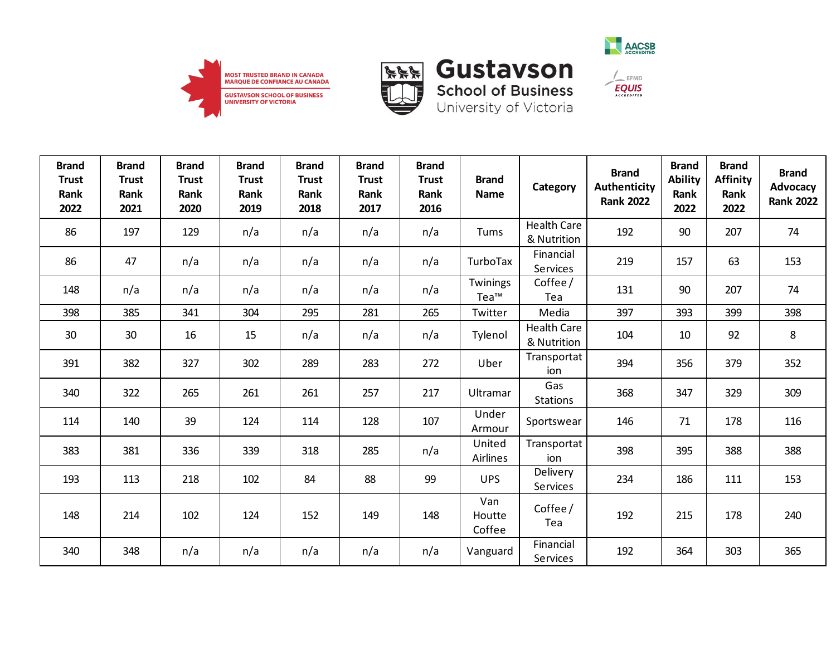





| <b>Brand</b><br><b>Trust</b><br>Rank<br>2022 | <b>Brand</b><br><b>Trust</b><br>Rank<br>2021 | <b>Brand</b><br><b>Trust</b><br>Rank<br>2020 | <b>Brand</b><br><b>Trust</b><br>Rank<br>2019 | <b>Brand</b><br><b>Trust</b><br>Rank<br>2018 | <b>Brand</b><br><b>Trust</b><br>Rank<br>2017 | <b>Brand</b><br><b>Trust</b><br>Rank<br>2016 | <b>Brand</b><br><b>Name</b> | Category                          | <b>Brand</b><br><b>Authenticity</b><br><b>Rank 2022</b> | <b>Brand</b><br><b>Ability</b><br>Rank<br>2022 | <b>Brand</b><br><b>Affinity</b><br>Rank<br>2022 | <b>Brand</b><br>Advocacy<br><b>Rank 2022</b> |
|----------------------------------------------|----------------------------------------------|----------------------------------------------|----------------------------------------------|----------------------------------------------|----------------------------------------------|----------------------------------------------|-----------------------------|-----------------------------------|---------------------------------------------------------|------------------------------------------------|-------------------------------------------------|----------------------------------------------|
| 86                                           | 197                                          | 129                                          | n/a                                          | n/a                                          | n/a                                          | n/a                                          | Tums                        | <b>Health Care</b><br>& Nutrition | 192                                                     | 90                                             | 207                                             | 74                                           |
| 86                                           | 47                                           | n/a                                          | n/a                                          | n/a                                          | n/a                                          | n/a                                          | TurboTax                    | Financial<br>Services             | 219                                                     | 157                                            | 63                                              | 153                                          |
| 148                                          | n/a                                          | n/a                                          | n/a                                          | n/a                                          | n/a                                          | n/a                                          | Twinings<br>Tea™            | Coffee /<br>Tea                   | 131                                                     | 90                                             | 207                                             | 74                                           |
| 398                                          | 385                                          | 341                                          | 304                                          | 295                                          | 281                                          | 265                                          | Twitter                     | Media                             | 397                                                     | 393                                            | 399                                             | 398                                          |
| 30                                           | 30                                           | 16                                           | 15                                           | n/a                                          | n/a                                          | n/a                                          | Tylenol                     | <b>Health Care</b><br>& Nutrition | 104                                                     | 10                                             | 92                                              | 8                                            |
| 391                                          | 382                                          | 327                                          | 302                                          | 289                                          | 283                                          | 272                                          | Uber                        | Transportat<br>ion                | 394                                                     | 356                                            | 379                                             | 352                                          |
| 340                                          | 322                                          | 265                                          | 261                                          | 261                                          | 257                                          | 217                                          | Ultramar                    | Gas<br><b>Stations</b>            | 368                                                     | 347                                            | 329                                             | 309                                          |
| 114                                          | 140                                          | 39                                           | 124                                          | 114                                          | 128                                          | 107                                          | Under<br>Armour             | Sportswear                        | 146                                                     | 71                                             | 178                                             | 116                                          |
| 383                                          | 381                                          | 336                                          | 339                                          | 318                                          | 285                                          | n/a                                          | United<br>Airlines          | Transportat<br>ion                | 398                                                     | 395                                            | 388                                             | 388                                          |
| 193                                          | 113                                          | 218                                          | 102                                          | 84                                           | 88                                           | 99                                           | <b>UPS</b>                  | Delivery<br>Services              | 234                                                     | 186                                            | 111                                             | 153                                          |
| 148                                          | 214                                          | 102                                          | 124                                          | 152                                          | 149                                          | 148                                          | Van<br>Houtte<br>Coffee     | Coffee /<br>Tea                   | 192                                                     | 215                                            | 178                                             | 240                                          |
| 340                                          | 348                                          | n/a                                          | n/a                                          | n/a                                          | n/a                                          | n/a                                          | Vanguard                    | Financial<br>Services             | 192                                                     | 364                                            | 303                                             | 365                                          |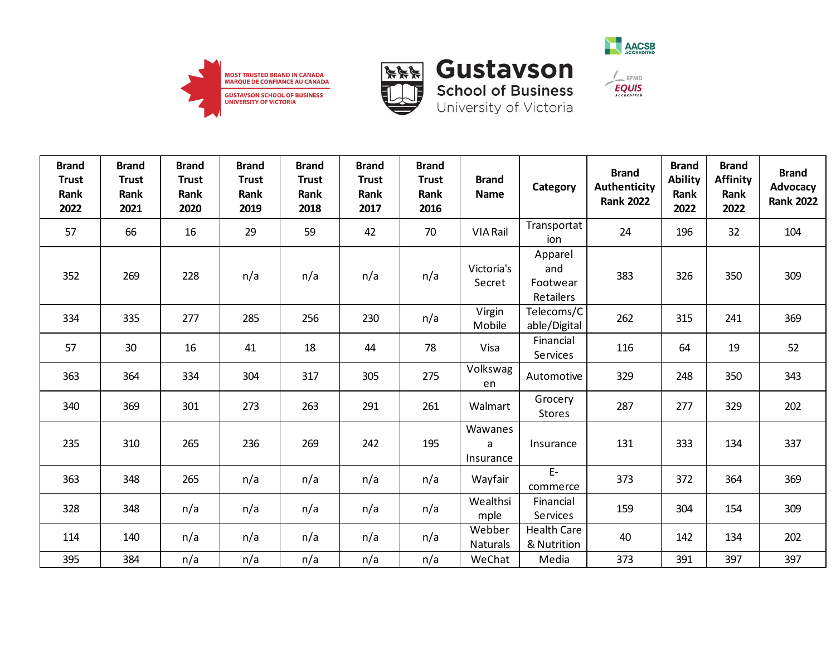





| <b>Brand</b><br><b>Trust</b><br>Rank<br>2022 | <b>Brand</b><br><b>Trust</b><br>Rank<br>2021 | <b>Brand</b><br><b>Trust</b><br>Rank<br>2020 | <b>Brand</b><br><b>Trust</b><br>Rank<br>2019 | <b>Brand</b><br><b>Trust</b><br>Rank<br>2018 | <b>Brand</b><br><b>Trust</b><br>Rank<br>2017 | <b>Brand</b><br><b>Trust</b><br>Rank<br>2016 | <b>Brand</b><br><b>Name</b> | Category                                | <b>Brand</b><br><b>Authenticity</b><br><b>Rank 2022</b> | <b>Brand</b><br><b>Ability</b><br>Rank<br>2022 | <b>Brand</b><br><b>Affinity</b><br>Rank<br>2022 | <b>Brand</b><br>Advocacy<br><b>Rank 2022</b> |
|----------------------------------------------|----------------------------------------------|----------------------------------------------|----------------------------------------------|----------------------------------------------|----------------------------------------------|----------------------------------------------|-----------------------------|-----------------------------------------|---------------------------------------------------------|------------------------------------------------|-------------------------------------------------|----------------------------------------------|
| 57                                           | 66                                           | 16                                           | 29                                           | 59                                           | 42                                           | 70                                           | VIA Rail                    | Transportat<br>ion                      | 24                                                      | 196                                            | 32                                              | 104                                          |
| 352                                          | 269                                          | 228                                          | n/a                                          | n/a                                          | n/a                                          | n/a                                          | Victoria's<br>Secret        | Apparel<br>and<br>Footwear<br>Retailers | 383                                                     | 326                                            | 350                                             | 309                                          |
| 334                                          | 335                                          | 277                                          | 285                                          | 256                                          | 230                                          | n/a                                          | Virgin<br>Mobile            | Telecoms/C<br>able/Digital              | 262                                                     | 315                                            | 241                                             | 369                                          |
| 57                                           | 30                                           | 16                                           | 41                                           | 18                                           | 44                                           | 78                                           | Visa                        | Financial<br>Services                   | 116                                                     | 64                                             | 19                                              | 52                                           |
| 363                                          | 364                                          | 334                                          | 304                                          | 317                                          | 305                                          | 275                                          | Volkswag<br>en              | Automotive                              | 329                                                     | 248                                            | 350                                             | 343                                          |
| 340                                          | 369                                          | 301                                          | 273                                          | 263                                          | 291                                          | 261                                          | Walmart                     | Grocery<br><b>Stores</b>                | 287                                                     | 277                                            | 329                                             | 202                                          |
| 235                                          | 310                                          | 265                                          | 236                                          | 269                                          | 242                                          | 195                                          | Wawanes<br>a<br>Insurance   | Insurance                               | 131                                                     | 333                                            | 134                                             | 337                                          |
| 363                                          | 348                                          | 265                                          | n/a                                          | n/a                                          | n/a                                          | n/a                                          | Wayfair                     | $E-$<br>commerce                        | 373                                                     | 372                                            | 364                                             | 369                                          |
| 328                                          | 348                                          | n/a                                          | n/a                                          | n/a                                          | n/a                                          | n/a                                          | Wealthsi<br>mple            | Financial<br><b>Services</b>            | 159                                                     | 304                                            | 154                                             | 309                                          |
| 114                                          | 140                                          | n/a                                          | n/a                                          | n/a                                          | n/a                                          | n/a                                          | Webber<br><b>Naturals</b>   | <b>Health Care</b><br>& Nutrition       | 40                                                      | 142                                            | 134                                             | 202                                          |
| 395                                          | 384                                          | n/a                                          | n/a                                          | n/a                                          | n/a                                          | n/a                                          | WeChat                      | Media                                   | 373                                                     | 391                                            | 397                                             | 397                                          |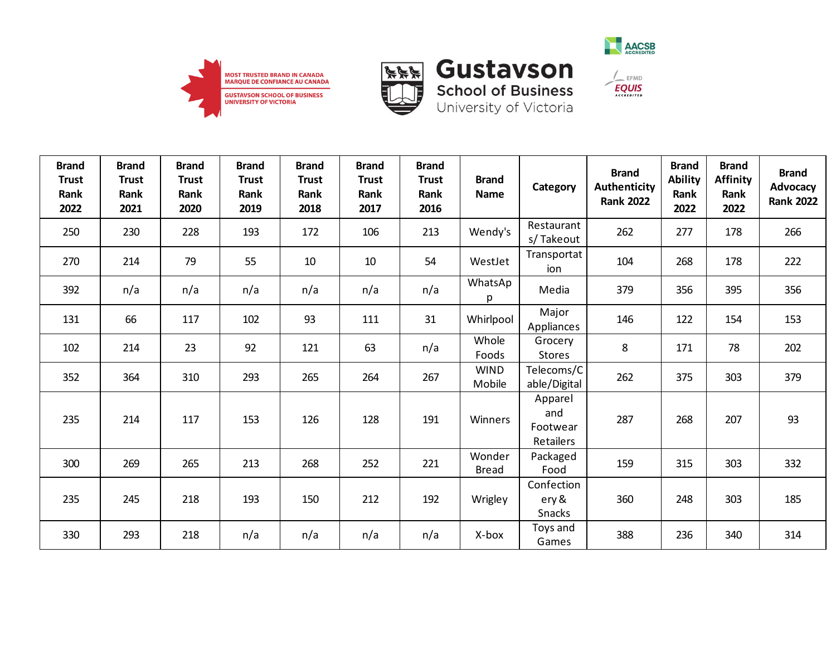



**School of Business**<br>University of Victoria



| <b>Brand</b><br><b>Trust</b><br>Rank<br>2022 | <b>Brand</b><br><b>Trust</b><br>Rank<br>2021 | <b>Brand</b><br><b>Trust</b><br>Rank<br>2020 | <b>Brand</b><br><b>Trust</b><br>Rank<br>2019 | <b>Brand</b><br><b>Trust</b><br>Rank<br>2018 | <b>Brand</b><br><b>Trust</b><br>Rank<br>2017 | <b>Brand</b><br><b>Trust</b><br>Rank<br>2016 | <b>Brand</b><br><b>Name</b> | Category                                | <b>Brand</b><br>Authenticity<br><b>Rank 2022</b> | <b>Brand</b><br><b>Ability</b><br>Rank<br>2022 | <b>Brand</b><br><b>Affinity</b><br>Rank<br>2022 | <b>Brand</b><br>Advocacy<br><b>Rank 2022</b> |
|----------------------------------------------|----------------------------------------------|----------------------------------------------|----------------------------------------------|----------------------------------------------|----------------------------------------------|----------------------------------------------|-----------------------------|-----------------------------------------|--------------------------------------------------|------------------------------------------------|-------------------------------------------------|----------------------------------------------|
| 250                                          | 230                                          | 228                                          | 193                                          | 172                                          | 106                                          | 213                                          | Wendy's                     | Restaurant<br>s/Takeout                 | 262                                              | 277                                            | 178                                             | 266                                          |
| 270                                          | 214                                          | 79                                           | 55                                           | 10                                           | 10                                           | 54                                           | WestJet                     | Transportat<br>ion                      | 104                                              | 268                                            | 178                                             | 222                                          |
| 392                                          | n/a                                          | n/a                                          | n/a                                          | n/a                                          | n/a                                          | n/a                                          | WhatsAp<br>p                | Media                                   | 379                                              | 356                                            | 395                                             | 356                                          |
| 131                                          | 66                                           | 117                                          | 102                                          | 93                                           | 111                                          | 31                                           | Whirlpool                   | Major<br>Appliances                     | 146                                              | 122                                            | 154                                             | 153                                          |
| 102                                          | 214                                          | 23                                           | 92                                           | 121                                          | 63                                           | n/a                                          | Whole<br>Foods              | Grocery<br><b>Stores</b>                | 8                                                | 171                                            | 78                                              | 202                                          |
| 352                                          | 364                                          | 310                                          | 293                                          | 265                                          | 264                                          | 267                                          | <b>WIND</b><br>Mobile       | Telecoms/C<br>able/Digital              | 262                                              | 375                                            | 303                                             | 379                                          |
| 235                                          | 214                                          | 117                                          | 153                                          | 126                                          | 128                                          | 191                                          | Winners                     | Apparel<br>and<br>Footwear<br>Retailers | 287                                              | 268                                            | 207                                             | 93                                           |
| 300                                          | 269                                          | 265                                          | 213                                          | 268                                          | 252                                          | 221                                          | Wonder<br><b>Bread</b>      | Packaged<br>Food                        | 159                                              | 315                                            | 303                                             | 332                                          |
| 235                                          | 245                                          | 218                                          | 193                                          | 150                                          | 212                                          | 192                                          | Wrigley                     | Confection<br>ery &<br>Snacks           | 360                                              | 248                                            | 303                                             | 185                                          |
| 330                                          | 293                                          | 218                                          | n/a                                          | n/a                                          | n/a                                          | n/a                                          | X-box                       | Toys and<br>Games                       | 388                                              | 236                                            | 340                                             | 314                                          |

 $\frac{1}{2}$  EFMD **EQUIS**